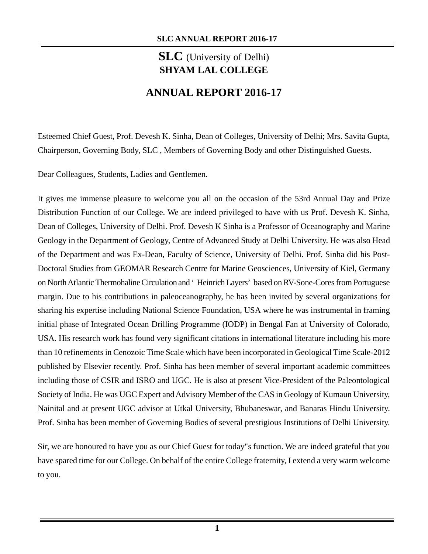# **SLC** (University of Delhi) **SHYAM LAL COLLEGE**

# **ANNUAL REPORT 2016-17**

Esteemed Chief Guest, Prof. Devesh K. Sinha, Dean of Colleges, University of Delhi; Mrs. Savita Gupta, Chairperson, Governing Body, SLC , Members of Governing Body and other Distinguished Guests.

Dear Colleagues, Students, Ladies and Gentlemen.

It gives me immense pleasure to welcome you all on the occasion of the 53rd Annual Day and Prize Distribution Function of our College. We are indeed privileged to have with us Prof. Devesh K. Sinha, Dean of Colleges, University of Delhi. Prof. Devesh K Sinha is a Professor of Oceanography and Marine Geology in the Department of Geology, Centre of Advanced Study at Delhi University. He was also Head of the Department and was Ex-Dean, Faculty of Science, University of Delhi. Prof. Sinha did his Post-Doctoral Studies from GEOMAR Research Centre for Marine Geosciences, University of Kiel, Germany on North Atlantic Thermohaline Circulation and 'Heinrich Layers' based on RV-Sone-Cores from Portuguese margin. Due to his contributions in paleoceanography, he has been invited by several organizations for sharing his expertise including National Science Foundation, USA where he was instrumental in framing initial phase of Integrated Ocean Drilling Programme (IODP) in Bengal Fan at University of Colorado, USA. His research work has found very significant citations in international literature including his more than 10 refinements in Cenozoic Time Scale which have been incorporated in Geological Time Scale-2012 published by Elsevier recently. Prof. Sinha has been member of several important academic committees including those of CSIR and ISRO and UGC. He is also at present Vice-President of the Paleontological Society of India. He was UGC Expert and Advisory Member of the CAS in Geology of Kumaun University, Nainital and at present UGC advisor at Utkal University, Bhubaneswar, and Banaras Hindu University. Prof. Sinha has been member of Governing Bodies of several prestigious Institutions of Delhi University.

Sir, we are honoured to have you as our Chief Guest for today"s function. We are indeed grateful that you have spared time for our College. On behalf of the entire College fraternity, I extend a very warm welcome to you.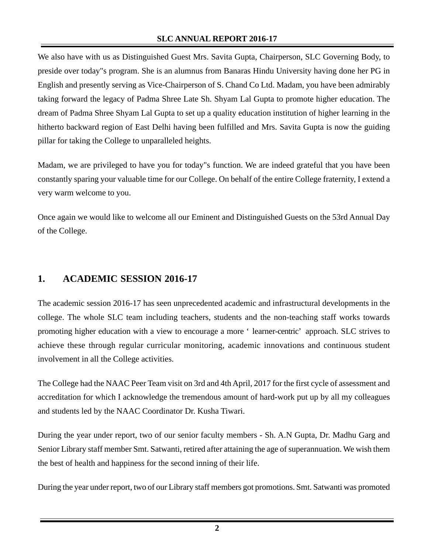We also have with us as Distinguished Guest Mrs. Savita Gupta, Chairperson, SLC Governing Body, to preside over today"s program. She is an alumnus from Banaras Hindu University having done her PG in English and presently serving as Vice-Chairperson of S. Chand Co Ltd. Madam, you have been admirably taking forward the legacy of Padma Shree Late Sh. Shyam Lal Gupta to promote higher education. The dream of Padma Shree Shyam Lal Gupta to set up a quality education institution of higher learning in the hitherto backward region of East Delhi having been fulfilled and Mrs. Savita Gupta is now the guiding pillar for taking the College to unparalleled heights.

Madam, we are privileged to have you for today"s function. We are indeed grateful that you have been constantly sparing your valuable time for our College. On behalf of the entire College fraternity, I extend a very warm welcome to you.

Once again we would like to welcome all our Eminent and Distinguished Guests on the 53rd Annual Day of the College.

## **1. ACADEMIC SESSION 2016-17**

The academic session 2016-17 has seen unprecedented academic and infrastructural developments in the college. The whole SLC team including teachers, students and the non-teaching staff works towards promoting higher education with a view to encourage a more 'learner-centric' approach. SLC strives to achieve these through regular curricular monitoring, academic innovations and continuous student involvement in all the College activities.

The College had the NAAC Peer Team visit on 3rd and 4th April, 2017 for the first cycle of assessment and accreditation for which I acknowledge the tremendous amount of hard-work put up by all my colleagues and students led by the NAAC Coordinator Dr. Kusha Tiwari.

During the year under report, two of our senior faculty members - Sh. A.N Gupta, Dr. Madhu Garg and Senior Library staff member Smt. Satwanti, retired after attaining the age of superannuation. We wish them the best of health and happiness for the second inning of their life.

During the year under report, two of our Library staff members got promotions. Smt. Satwanti was promoted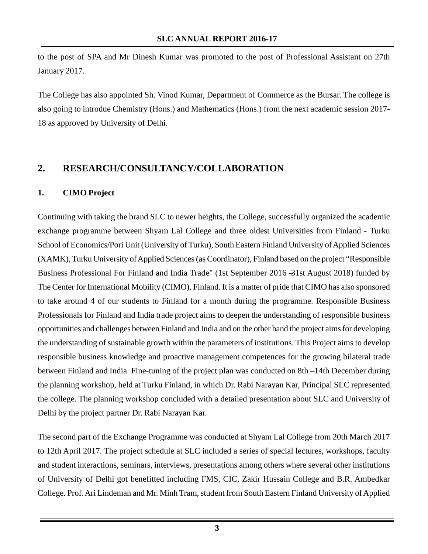to the post of SPA and Mr Dinesh Kumar was promoted to the post of Professional Assistant on 27th January 2017.

The College has also appointed Sh. Vinod Kumar, Department of Commerce as the Bursar. The college is also going to introdue Chemistry (Hons.) and Mathematics (Hons.) from the next academic session 2017- 18 as approved by University of Delhi.

## **2. RESEARCH/CONSULTANCY/COLLABORATION**

## **1. CIMO Project**

Continuing with taking the brand SLC to newer heights, the College, successfully organized the academic exchange programme between Shyam Lal College and three oldest Universities from Finland - Turku School of Economics/Pori Unit (University of Turku), South Eastern Finland University of Applied Sciences (XAMK), Turku University of Applied Sciences (as Coordinator), Finland based on the project "Responsible Business Professional For Finland and India Trade" (1st September 2016 –31st August 2018) funded by The Center for International Mobility (CIMO), Finland. It is a matter of pride that CIMO has also sponsored to take around 4 of our students to Finland for a month during the programme. Responsible Business Professionals for Finland and India trade project aims to deepen the understanding of responsible business opportunities and challenges between Finland and India and on the other hand the project aims for developing the understanding of sustainable growth within the parameters of institutions. This Project aims to develop responsible business knowledge and proactive management competences for the growing bilateral trade between Finland and India. Fine-tuning of the project plan was conducted on 8th – 14th December during the planning workshop, held at Turku Finland, in which Dr. Rabi Narayan Kar, Principal SLC represented the college. The planning workshop concluded with a detailed presentation about SLC and University of Delhi by the project partner Dr. Rabi Narayan Kar.

The second part of the Exchange Programme was conducted at Shyam Lal College from 20th March 2017 to 12th April 2017. The project schedule at SLC included a series of special lectures, workshops, faculty and student interactions, seminars, interviews, presentations among others where several other institutions of University of Delhi got benefitted including FMS, CIC, Zakir Hussain College and B.R. Ambedkar College. Prof. Ari Lindeman and Mr. Minh Tram, student from South Eastern Finland University of Applied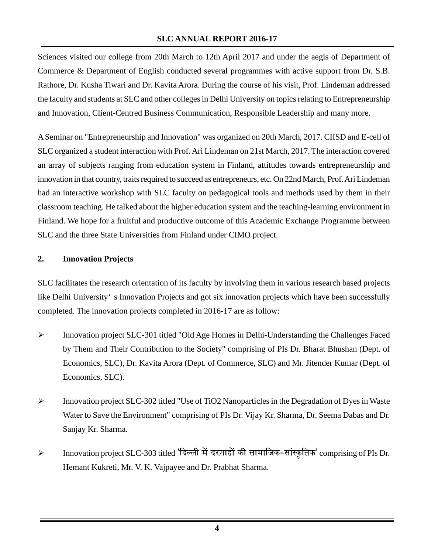Sciences visited our college from 20th March to 12th April 2017 and under the aegis of Department of Commerce & Department of English conducted several programmes with active support from Dr. S.B. Rathore, Dr. Kusha Tiwari and Dr. Kavita Arora. During the course of his visit, Prof. Lindeman addressed the faculty and students at SLC and other colleges in Delhi University on topics relating to Entrepreneurship and Innovation, Client-Centred Business Communication, Responsible Leadership and many more.

A Seminar on "Entrepreneurship and Innovation" was organized on 20th March, 2017. CIISD and E-cell of SLC organized a student interaction with Prof. Ari Lindeman on 21st March, 2017. The interaction covered an array of subjects ranging from education system in Finland, attitudes towards entrepreneurship and innovation in that country, traits required to succeed as entrepreneurs, etc. On 22nd March, Prof. Ari Lindeman had an interactive workshop with SLC faculty on pedagogical tools and methods used by them in their classroom teaching. He talked about the higher education system and the teaching-learning environment in Finland. We hope for a fruitful and productive outcome of this Academic Exchange Programme between SLC and the three State Universities from Finland under CIMO project.

## **2. Innovation Projects**

SLC facilitates the research orientation of its faculty by involving them in various research based projects like Delhi University's Innovation Projects and got six innovation projects which have been successfully completed. The innovation projects completed in 2016-17 are as follow:

- ¾ Innovation project SLC-301 titled "Old Age Homes in Delhi-Understanding the Challenges Faced by Them and Their Contribution to the Society" comprising of PIs Dr. Bharat Bhushan (Dept. of Economics, SLC), Dr. Kavita Arora (Dept. of Commerce, SLC) and Mr. Jitender Kumar (Dept. of Economics, SLC).
- $\blacktriangleright$  Innovation project SLC-302 titled "Use of TiO2 Nanoparticles in the Degradation of Dyes in Waste Water to Save the Environment" comprising of PIs Dr. Vijay Kr. Sharma, Dr. Seema Dabas and Dr. Sanjay Kr. Sharma.
- ≻ Innovation project SLC-303 titled 'दिल्ली में दरगाहों की सामाजिक-सांस्कृतिक' comprising of PIs Dr. Hemant Kukreti, Mr. V. K. Vajpayee and Dr. Prabhat Sharma.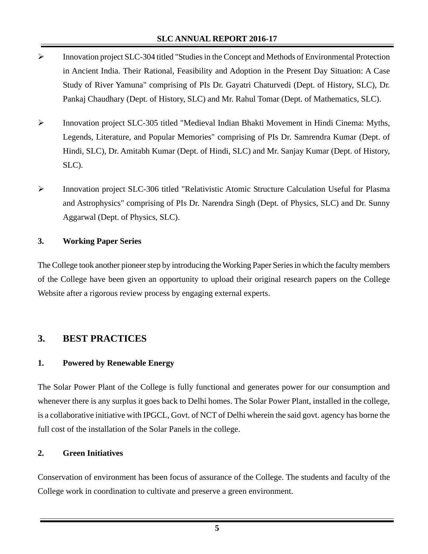- ¾ Innovation project SLC-304 titled "Studies in the Concept and Methods of Environmental Protection in Ancient India. Their Rational, Feasibility and Adoption in the Present Day Situation: A Case Study of River Yamuna" comprising of PIs Dr. Gayatri Chaturvedi (Dept. of History, SLC), Dr. Pankaj Chaudhary (Dept. of History, SLC) and Mr. Rahul Tomar (Dept. of Mathematics, SLC).
- ¾ Innovation project SLC-305 titled "Medieval Indian Bhakti Movement in Hindi Cinema: Myths, Legends, Literature, and Popular Memories" comprising of PIs Dr. Samrendra Kumar (Dept. of Hindi, SLC), Dr. Amitabh Kumar (Dept. of Hindi, SLC) and Mr. Sanjay Kumar (Dept. of History, SLC).
- ¾ Innovation project SLC-306 titled "Relativistic Atomic Structure Calculation Useful for Plasma and Astrophysics" comprising of PIs Dr. Narendra Singh (Dept. of Physics, SLC) and Dr. Sunny Aggarwal (Dept. of Physics, SLC).

## **3. Working Paper Series**

The College took another pioneer step by introducing the Working Paper Series in which the faculty members of the College have been given an opportunity to upload their original research papers on the College Website after a rigorous review process by engaging external experts.

## **3. BEST PRACTICES**

## **1. Powered by Renewable Energy**

The Solar Power Plant of the College is fully functional and generates power for our consumption and whenever there is any surplus it goes back to Delhi homes. The Solar Power Plant, installed in the college, is a collaborative initiative with IPGCL, Govt. of NCT of Delhi wherein the said govt. agency has borne the full cost of the installation of the Solar Panels in the college.

#### **2. Green Initiatives**

Conservation of environment has been focus of assurance of the College. The students and faculty of the College work in coordination to cultivate and preserve a green environment.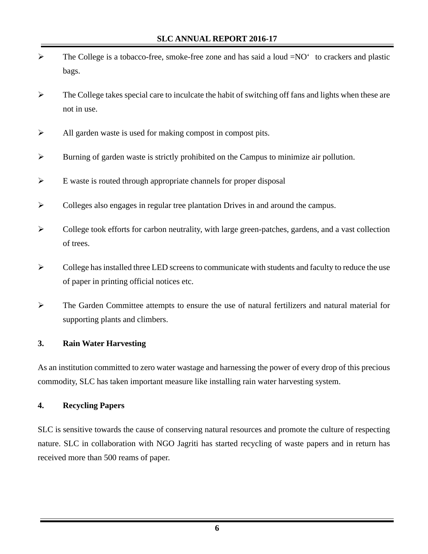- $\triangleright$  The College is a tobacco-free, smoke-free zone and has said a loud  $=NO^{\circ}$  to crackers and plastic bags.
- $\triangleright$  The College takes special care to inculcate the habit of switching off fans and lights when these are not in use.
- $\blacktriangleright$  All garden waste is used for making compost in compost pits.
- ¾ Burning of garden waste is strictly prohibited on the Campus to minimize air pollution.
- $\triangleright$  E waste is routed through appropriate channels for proper disposal
- $\triangleright$  Colleges also engages in regular tree plantation Drives in and around the campus.
- ¾ College took efforts for carbon neutrality, with large green-patches, gardens, and a vast collection of trees.
- $\triangleright$  College has installed three LED screens to communicate with students and faculty to reduce the use of paper in printing official notices etc.
- $\triangleright$  The Garden Committee attempts to ensure the use of natural fertilizers and natural material for supporting plants and climbers.

#### **3. Rain Water Harvesting**

As an institution committed to zero water wastage and harnessing the power of every drop of this precious commodity, SLC has taken important measure like installing rain water harvesting system.

#### **4. Recycling Papers**

SLC is sensitive towards the cause of conserving natural resources and promote the culture of respecting nature. SLC in collaboration with NGO Jagriti has started recycling of waste papers and in return has received more than 500 reams of paper.

**6**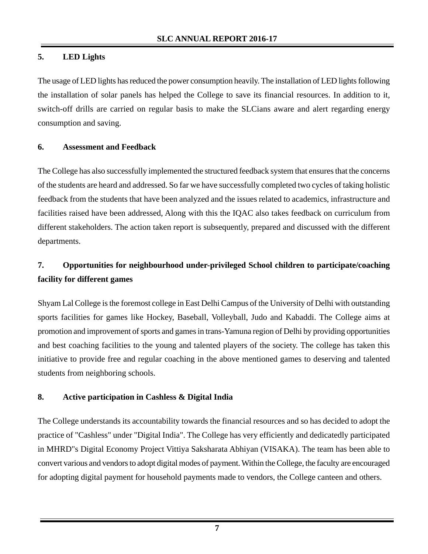## **5. LED Lights**

The usage of LED lights has reduced the power consumption heavily. The installation of LED lights following the installation of solar panels has helped the College to save its financial resources. In addition to it, switch-off drills are carried on regular basis to make the SLCians aware and alert regarding energy consumption and saving.

#### **6. Assessment and Feedback**

The College has also successfully implemented the structured feedback system that ensures that the concerns of the students are heard and addressed. So far we have successfully completed two cycles of taking holistic feedback from the students that have been analyzed and the issues related to academics, infrastructure and facilities raised have been addressed, Along with this the IQAC also takes feedback on curriculum from different stakeholders. The action taken report is subsequently, prepared and discussed with the different departments.

# **7. Opportunities for neighbourhood under-privileged School children to participate/coaching facility for different games**

Shyam Lal College is the foremost college in East Delhi Campus of the University of Delhi with outstanding sports facilities for games like Hockey, Baseball, Volleyball, Judo and Kabaddi. The College aims at promotion and improvement of sports and games in trans-Yamuna region of Delhi by providing opportunities and best coaching facilities to the young and talented players of the society. The college has taken this initiative to provide free and regular coaching in the above mentioned games to deserving and talented students from neighboring schools.

## **8. Active participation in Cashless & Digital India**

The College understands its accountability towards the financial resources and so has decided to adopt the practice of "Cashless" under "Digital India". The College has very efficiently and dedicatedly participated in MHRD"s Digital Economy Project Vittiya Saksharata Abhiyan (VISAKA). The team has been able to convert various and vendors to adopt digital modes of payment. Within the College, the faculty are encouraged for adopting digital payment for household payments made to vendors, the College canteen and others.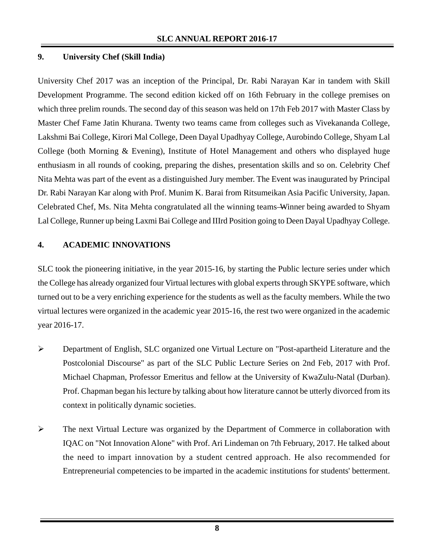## **9. University Chef (Skill India)**

University Chef 2017 was an inception of the Principal, Dr. Rabi Narayan Kar in tandem with Skill Development Programme. The second edition kicked off on 16th February in the college premises on which three prelim rounds. The second day of this season was held on 17th Feb 2017 with Master Class by Master Chef Fame Jatin Khurana. Twenty two teams came from colleges such as Vivekananda College, Lakshmi Bai College, Kirori Mal College, Deen Dayal Upadhyay College, Aurobindo College, Shyam Lal College (both Morning & Evening), Institute of Hotel Management and others who displayed huge enthusiasm in all rounds of cooking, preparing the dishes, presentation skills and so on. Celebrity Chef Nita Mehta was part of the event as a distinguished Jury member. The Event was inaugurated by Principal Dr. Rabi Narayan Kar along with Prof. Munim K. Barai from Ritsumeikan Asia Pacific University, Japan. Celebrated Chef, Ms. Nita Mehta congratulated all the winning teams—Winner being awarded to Shyam Lal College, Runner up being Laxmi Bai College and IIIrd Position going to Deen Dayal Upadhyay College.

## **4. ACADEMIC INNOVATIONS**

SLC took the pioneering initiative, in the year 2015-16, by starting the Public lecture series under which the College has already organized four Virtual lectures with global experts through SKYPE software, which turned out to be a very enriching experience for the students as well as the faculty members. While the two virtual lectures were organized in the academic year 2015-16, the rest two were organized in the academic year 2016-17.

- ¾ Department of English, SLC organized one Virtual Lecture on "Post-apartheid Literature and the Postcolonial Discourse" as part of the SLC Public Lecture Series on 2nd Feb, 2017 with Prof. Michael Chapman, Professor Emeritus and fellow at the University of KwaZulu-Natal (Durban). Prof. Chapman began his lecture by talking about how literature cannot be utterly divorced from its context in politically dynamic societies.
- ¾ The next Virtual Lecture was organized by the Department of Commerce in collaboration with IQAC on "Not Innovation Alone" with Prof. Ari Lindeman on 7th February, 2017. He talked about the need to impart innovation by a student centred approach. He also recommended for Entrepreneurial competencies to be imparted in the academic institutions for students' betterment.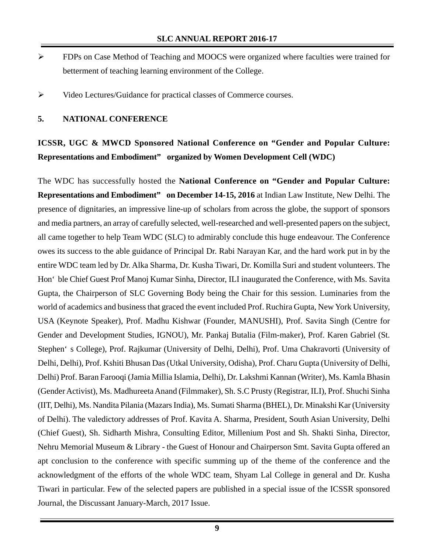- ¾ FDPs on Case Method of Teaching and MOOCS were organized where faculties were trained for betterment of teaching learning environment of the College.
- ¾ Video Lectures/Guidance for practical classes of Commerce courses.

#### **5. NATIONAL CONFERENCE**

# **ICSSR, UGC & MWCD Sponsored National Conference on "Gender and Popular Culture: Representations and Embodiment" organized by Women Development Cell (WDC)**

The WDC has successfully hosted the **National Conference on "Gender and Popular Culture: Representations and Embodiment" on December 14-15, 2016** at Indian Law Institute, New Delhi. The presence of dignitaries, an impressive line-up of scholars from across the globe, the support of sponsors and media partners, an array of carefully selected, well-researched and well-presented papers on the subject, all came together to help Team WDC (SLC) to admirably conclude this huge endeavour. The Conference owes its success to the able guidance of Principal Dr. Rabi Narayan Kar, and the hard work put in by the entire WDC team led by Dr. Alka Sharma, Dr. Kusha Tiwari, Dr. Komilla Suri and student volunteers. The Hon'ble Chief Guest Prof Manoj Kumar Sinha, Director, ILI inaugurated the Conference, with Ms. Savita Gupta, the Chairperson of SLC Governing Body being the Chair for this session. Luminaries from the world of academics and business that graced the event included Prof. Ruchira Gupta, New York University, USA (Keynote Speaker), Prof. Madhu Kishwar (Founder, MANUSHI), Prof. Savita Singh (Centre for Gender and Development Studies, IGNOU), Mr. Pankaj Butalia (Film-maker), Prof. Karen Gabriel (St. Stephen's College), Prof. Rajkumar (University of Delhi, Delhi), Prof. Uma Chakravorti (University of Delhi, Delhi), Prof. Kshiti Bhusan Das (Utkal University, Odisha), Prof. Charu Gupta (University of Delhi, Delhi) Prof. Baran Farooqi (Jamia Millia Islamia, Delhi), Dr. Lakshmi Kannan (Writer), Ms. Kamla Bhasin (Gender Activist), Ms. Madhureeta Anand (Filmmaker), Sh. S.C Prusty (Registrar, ILI), Prof. Shuchi Sinha (IIT, Delhi), Ms. Nandita Pilania (Mazars India), Ms. Sumati Sharma (BHEL), Dr. Minakshi Kar (University of Delhi). The valedictory addresses of Prof. Kavita A. Sharma, President, South Asian University, Delhi (Chief Guest), Sh. Sidharth Mishra, Consulting Editor, Millenium Post and Sh. Shakti Sinha, Director, Nehru Memorial Museum & Library - the Guest of Honour and Chairperson Smt. Savita Gupta offered an apt conclusion to the conference with specific summing up of the theme of the conference and the acknowledgment of the efforts of the whole WDC team, Shyam Lal College in general and Dr. Kusha Tiwari in particular. Few of the selected papers are published in a special issue of the ICSSR sponsored Journal, the Discussant January-March, 2017 Issue.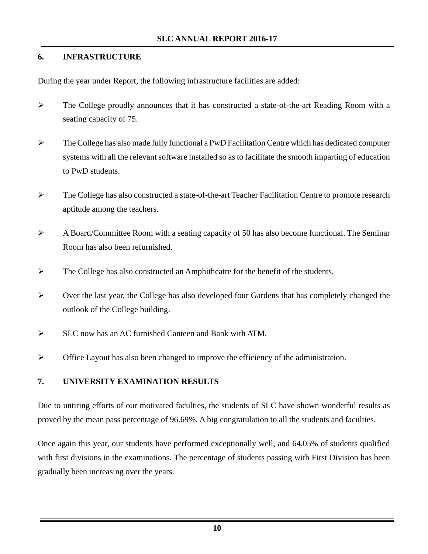## **6. INFRASTRUCTURE**

During the year under Report, the following infrastructure facilities are added:

- ¾ The College proudly announces that it has constructed a state-of-the-art Reading Room with a seating capacity of 75.
- ¾ The College has also made fully functional a PwD Facilitation Centre which has dedicated computer systems with all the relevant software installed so as to facilitate the smooth imparting of education to PwD students.
- ¾ The College has also constructed a state-of-the-art Teacher Facilitation Centre to promote research aptitude among the teachers.
- ¾ A Board/Committee Room with a seating capacity of 50 has also become functional. The Seminar Room has also been refurnished.
- ¾ The College has also constructed an Amphitheatre for the benefit of the students.
- ¾ Over the last year, the College has also developed four Gardens that has completely changed the outlook of the College building.
- ¾ SLC now has an AC furnished Canteen and Bank with ATM.
- ¾ Office Layout has also been changed to improve the efficiency of the administration.

## **7. UNIVERSITY EXAMINATION RESULTS**

Due to untiring efforts of our motivated faculties, the students of SLC have shown wonderful results as proved by the mean pass percentage of 96.69%. A big congratulation to all the students and faculties.

Once again this year, our students have performed exceptionally well, and 64.05% of students qualified with first divisions in the examinations. The percentage of students passing with First Division has been gradually been increasing over the years.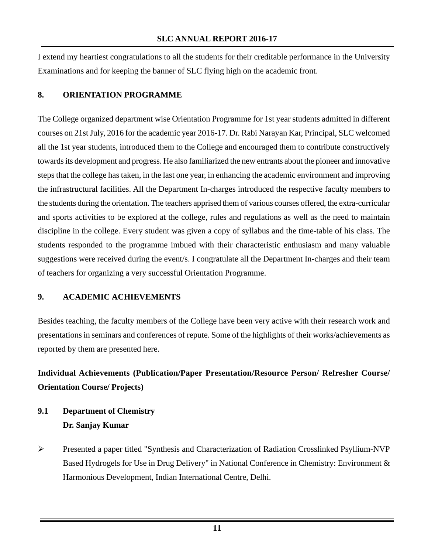I extend my heartiest congratulations to all the students for their creditable performance in the University Examinations and for keeping the banner of SLC flying high on the academic front.

#### **8. ORIENTATION PROGRAMME**

The College organized department wise Orientation Programme for 1st year students admitted in different courses on 21st July, 2016 for the academic year 2016-17. Dr. Rabi Narayan Kar, Principal, SLC welcomed all the 1st year students, introduced them to the College and encouraged them to contribute constructively towards its development and progress. He also familiarized the new entrants about the pioneer and innovative steps that the college has taken, in the last one year, in enhancing the academic environment and improving the infrastructural facilities. All the Department In-charges introduced the respective faculty members to the students during the orientation. The teachers apprised them of various courses offered, the extra-curricular and sports activities to be explored at the college, rules and regulations as well as the need to maintain discipline in the college. Every student was given a copy of syllabus and the time-table of his class. The students responded to the programme imbued with their characteristic enthusiasm and many valuable suggestions were received during the event/s. I congratulate all the Department In-charges and their team of teachers for organizing a very successful Orientation Programme.

## **9. ACADEMIC ACHIEVEMENTS**

Besides teaching, the faculty members of the College have been very active with their research work and presentations in seminars and conferences of repute. Some of the highlights of their works/achievements as reported by them are presented here.

# **Individual Achievements (Publication/Paper Presentation/Resource Person/ Refresher Course/ Orientation Course/ Projects)**

# **9.1 Department of Chemistry Dr. Sanjay Kumar**

¾ Presented a paper titled "Synthesis and Characterization of Radiation Crosslinked Psyllium-NVP Based Hydrogels for Use in Drug Delivery" in National Conference in Chemistry: Environment & Harmonious Development, Indian International Centre, Delhi.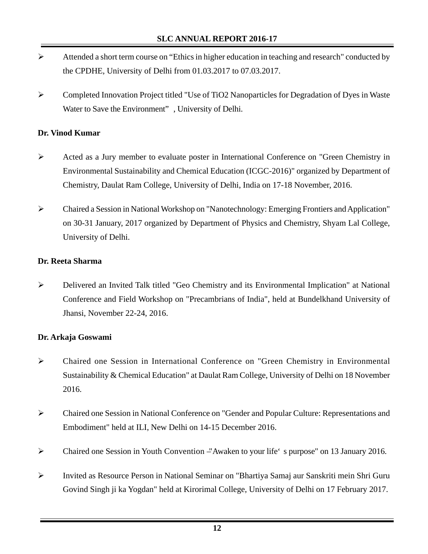- $\triangleright$  Attended a short term course on "Ethics in higher education in teaching and research" conducted by the CPDHE, University of Delhi from 01.03.2017 to 07.03.2017.
- ¾ Completed Innovation Project titled "Use of TiO2 Nanoparticles for Degradation of Dyes in Waste Water to Save the Environment", University of Delhi.

## **Dr. Vinod Kumar**

- ¾ Acted as a Jury member to evaluate poster in International Conference on "Green Chemistry in Environmental Sustainability and Chemical Education (ICGC-2016)" organized by Department of Chemistry, Daulat Ram College, University of Delhi, India on 17-18 November, 2016.
- ¾ Chaired a Session in National Workshop on "Nanotechnology: Emerging Frontiers and Application" on 30-31 January, 2017 organized by Department of Physics and Chemistry, Shyam Lal College, University of Delhi.

## **Dr. Reeta Sharma**

¾ Delivered an Invited Talk titled "Geo Chemistry and its Environmental Implication" at National Conference and Field Workshop on "Precambrians of India", held at Bundelkhand University of Jhansi, November 22-24, 2016.

## **Dr. Arkaja Goswami**

- ¾ Chaired one Session in International Conference on "Green Chemistry in Environmental Sustainability & Chemical Education" at Daulat Ram College, University of Delhi on 18 November 2016.
- ¾ Chaired one Session in National Conference on "Gender and Popular Culture: Representations and Embodiment" held at ILI, New Delhi on 14-15 December 2016.
- ¾ Chaired one Session in Youth Convention –"Awaken to your life's purpose" on 13 January 2016.
- ¾ Invited as Resource Person in National Seminar on "Bhartiya Samaj aur Sanskriti mein Shri Guru Govind Singh ji ka Yogdan" held at Kirorimal College, University of Delhi on 17 February 2017.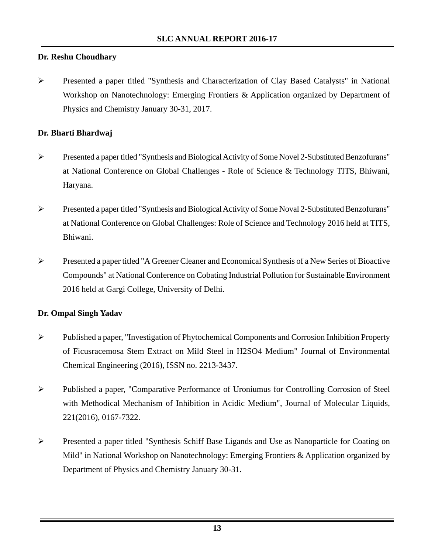## **Dr. Reshu Choudhary**

¾ Presented a paper titled "Synthesis and Characterization of Clay Based Catalysts" in National Workshop on Nanotechnology: Emerging Frontiers & Application organized by Department of Physics and Chemistry January 30-31, 2017.

#### **Dr. Bharti Bhardwaj**

- ¾ Presented a paper titled "Synthesis and Biological Activity of Some Novel 2-Substituted Benzofurans" at National Conference on Global Challenges - Role of Science & Technology TITS, Bhiwani, Haryana.
- ¾ Presented a paper titled "Synthesis and Biological Activity of Some Noval 2-Substituted Benzofurans" at National Conference on Global Challenges: Role of Science and Technology 2016 held at TITS, Bhiwani.
- ¾ Presented a paper titled "A Greener Cleaner and Economical Synthesis of a New Series of Bioactive Compounds" at National Conference on Cobating Industrial Pollution for Sustainable Environment 2016 held at Gargi College, University of Delhi.

#### **Dr. Ompal Singh Yadav**

- ¾ Published a paper, "Investigation of Phytochemical Components and Corrosion Inhibition Property of Ficusracemosa Stem Extract on Mild Steel in H2SO4 Medium" Journal of Environmental Chemical Engineering (2016), ISSN no. 2213-3437.
- ¾ Published a paper, "Comparative Performance of Uroniumus for Controlling Corrosion of Steel with Methodical Mechanism of Inhibition in Acidic Medium", Journal of Molecular Liquids, 221(2016), 0167-7322.
- ¾ Presented a paper titled "Synthesis Schiff Base Ligands and Use as Nanoparticle for Coating on Mild" in National Workshop on Nanotechnology: Emerging Frontiers & Application organized by Department of Physics and Chemistry January 30-31.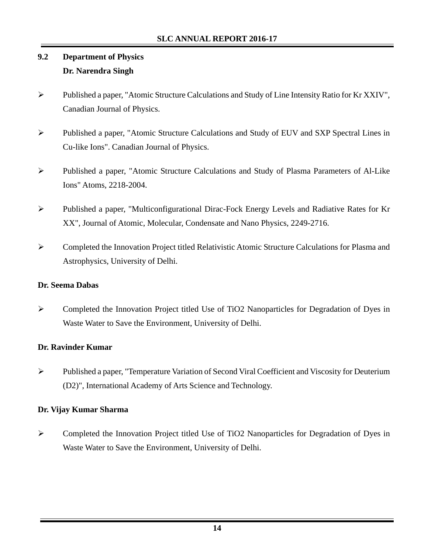# **9.2 Department of Physics Dr. Narendra Singh**

- ¾ Published a paper, "Atomic Structure Calculations and Study of Line Intensity Ratio for Kr XXIV", Canadian Journal of Physics.
- ¾ Published a paper, "Atomic Structure Calculations and Study of EUV and SXP Spectral Lines in Cu-like Ions". Canadian Journal of Physics.
- ¾ Published a paper, "Atomic Structure Calculations and Study of Plasma Parameters of Al-Like Ions" Atoms, 2218-2004.
- ¾ Published a paper, "Multiconfigurational Dirac-Fock Energy Levels and Radiative Rates for Kr XX", Journal of Atomic, Molecular, Condensate and Nano Physics, 2249-2716.
- ¾ Completed the Innovation Project titled Relativistic Atomic Structure Calculations for Plasma and Astrophysics, University of Delhi.

#### **Dr. Seema Dabas**

¾ Completed the Innovation Project titled Use of TiO2 Nanoparticles for Degradation of Dyes in Waste Water to Save the Environment, University of Delhi.

## **Dr. Ravinder Kumar**

¾ Published a paper, "Temperature Variation of Second Viral Coefficient and Viscosity for Deuterium (D2)", International Academy of Arts Science and Technology.

## **Dr. Vijay Kumar Sharma**

¾ Completed the Innovation Project titled Use of TiO2 Nanoparticles for Degradation of Dyes in Waste Water to Save the Environment, University of Delhi.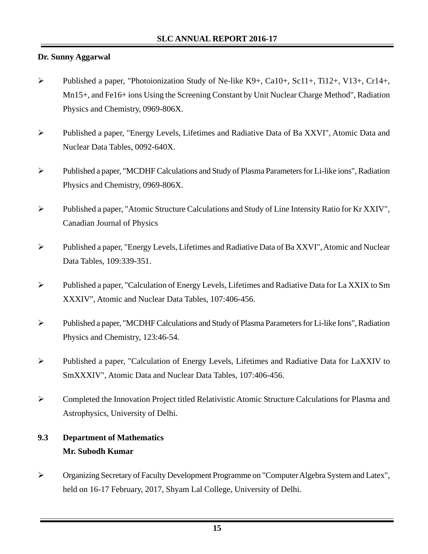## **Dr. Sunny Aggarwal**

- ¾ Published a paper, "Photoionization Study of Ne-like K9+, Ca10+, Sc11+, Ti12+, V13+, Cr14+, Mn15+, and Fe16+ ions Using the Screening Constant by Unit Nuclear Charge Method", Radiation Physics and Chemistry, 0969-806X.
- ¾ Published a paper, "Energy Levels, Lifetimes and Radiative Data of Ba XXVI", Atomic Data and Nuclear Data Tables, 0092-640X.
- ¾ Published a paper, "MCDHF Calculations and Study of Plasma Parameters for Li-like ions", Radiation Physics and Chemistry, 0969-806X.
- ¾ Published a paper, "Atomic Structure Calculations and Study of Line Intensity Ratio for Kr XXIV", Canadian Journal of Physics
- ¾ Published a paper, "Energy Levels, Lifetimes and Radiative Data of Ba XXVI", Atomic and Nuclear Data Tables, 109:339-351.
- ¾ Published a paper, "Calculation of Energy Levels, Lifetimes and Radiative Data for La XXIX to Sm XXXIV", Atomic and Nuclear Data Tables, 107:406-456.
- ¾ Published a paper, "MCDHF Calculations and Study of Plasma Parameters for Li-like Ions", Radiation Physics and Chemistry, 123:46-54.
- ¾ Published a paper, "Calculation of Energy Levels, Lifetimes and Radiative Data for LaXXIV to SmXXXIV", Atomic Data and Nuclear Data Tables, 107:406-456.
- ¾ Completed the Innovation Project titled Relativistic Atomic Structure Calculations for Plasma and Astrophysics, University of Delhi.

# **9.3 Department of Mathematics Mr. Subodh Kumar**

¾ Organizing Secretary of Faculty Development Programme on "Computer Algebra System and Latex", held on 16-17 February, 2017, Shyam Lal College, University of Delhi.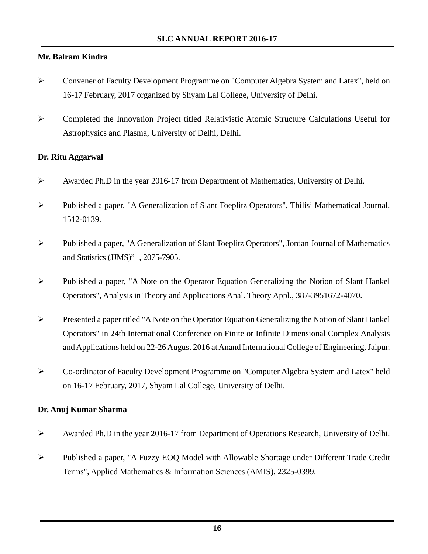## **Mr. Balram Kindra**

- ¾ Convener of Faculty Development Programme on "Computer Algebra System and Latex", held on 16-17 February, 2017 organized by Shyam Lal College, University of Delhi.
- ¾ Completed the Innovation Project titled Relativistic Atomic Structure Calculations Useful for Astrophysics and Plasma, University of Delhi, Delhi.

#### **Dr. Ritu Aggarwal**

- ¾ Awarded Ph.D in the year 2016-17 from Department of Mathematics, University of Delhi.
- ¾ Published a paper, "A Generalization of Slant Toeplitz Operators", Tbilisi Mathematical Journal, 1512-0139.
- ¾ Published a paper, "A Generalization of Slant Toeplitz Operators", Jordan Journal of Mathematics and Statistics (JJMS)", 2075-7905.
- ¾ Published a paper, "A Note on the Operator Equation Generalizing the Notion of Slant Hankel Operators", Analysis in Theory and Applications Anal. Theory Appl., 387-3951672-4070.
- ¾ Presented a paper titled "A Note on the Operator Equation Generalizing the Notion of Slant Hankel Operators" in 24th International Conference on Finite or Infinite Dimensional Complex Analysis and Applications held on 22-26 August 2016 at Anand International College of Engineering, Jaipur.
- ¾ Co-ordinator of Faculty Development Programme on "Computer Algebra System and Latex" held on 16-17 February, 2017, Shyam Lal College, University of Delhi.

#### **Dr. Anuj Kumar Sharma**

- ¾ Awarded Ph.D in the year 2016-17 from Department of Operations Research, University of Delhi.
- ¾ Published a paper, "A Fuzzy EOQ Model with Allowable Shortage under Different Trade Credit Terms", Applied Mathematics & Information Sciences (AMIS), 2325-0399.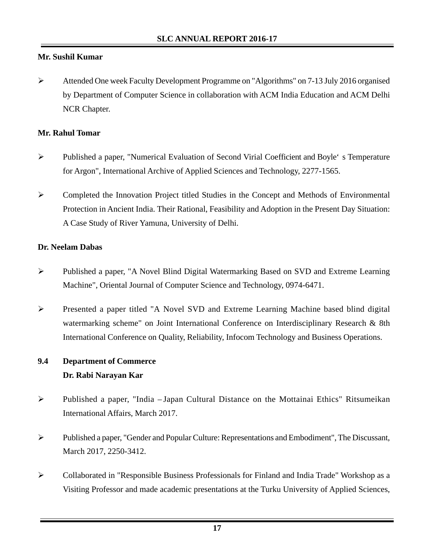## **Mr. Sushil Kumar**

¾ Attended One week Faculty Development Programme on "Algorithms" on 7-13 July 2016 organised by Department of Computer Science in collaboration with ACM India Education and ACM Delhi NCR Chapter.

#### **Mr. Rahul Tomar**

- ¾ Published a paper, "Numerical Evaluation of Second Virial Coefficient and Boyle's Temperature for Argon", International Archive of Applied Sciences and Technology, 2277-1565.
- ¾ Completed the Innovation Project titled Studies in the Concept and Methods of Environmental Protection in Ancient India. Their Rational, Feasibility and Adoption in the Present Day Situation: A Case Study of River Yamuna, University of Delhi.

#### **Dr. Neelam Dabas**

- ¾ Published a paper, "A Novel Blind Digital Watermarking Based on SVD and Extreme Learning Machine", Oriental Journal of Computer Science and Technology, 0974-6471.
- ¾ Presented a paper titled "A Novel SVD and Extreme Learning Machine based blind digital watermarking scheme" on Joint International Conference on Interdisciplinary Research & 8th International Conference on Quality, Reliability, Infocom Technology and Business Operations.

# **9.4 Department of Commerce Dr. Rabi Narayan Kar**

- ¾ Published a paper, "India Japan Cultural Distance on the Mottainai Ethics" Ritsumeikan International Affairs, March 2017.
- ¾ Published a paper, "Gender and Popular Culture: Representations and Embodiment", The Discussant, March 2017, 2250-3412.
- ¾ Collaborated in "Responsible Business Professionals for Finland and India Trade" Workshop as a Visiting Professor and made academic presentations at the Turku University of Applied Sciences,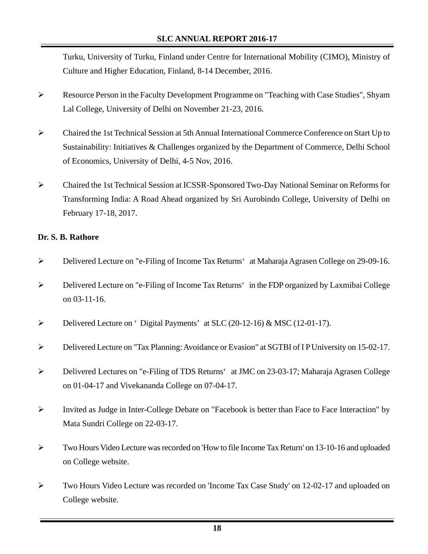Turku, University of Turku, Finland under Centre for International Mobility (CIMO), Ministry of Culture and Higher Education, Finland, 8-14 December, 2016.

- ¾ Resource Person in the Faculty Development Programme on "Teaching with Case Studies", Shyam Lal College, University of Delhi on November 21-23, 2016.
- ¾ Chaired the 1st Technical Session at 5th Annual International Commerce Conference on Start Up to Sustainability: Initiatives & Challenges organized by the Department of Commerce, Delhi School of Economics, University of Delhi, 4-5 Nov, 2016.
- ¾ Chaired the 1st Technical Session at ICSSR-Sponsored Two-Day National Seminar on Reforms for Transforming India: A Road Ahead organized by Sri Aurobindo College, University of Delhi on February 17-18, 2017.

#### **Dr. S. B. Rathore**

- ¾ Delivered Lecture on "e-Filing of Income Tax Returns' at Maharaja Agrasen College on 29-09-16.
- ¾ Delivered Lecture on "e-Filing of Income Tax Returns' in the FDP organized by Laxmibai College on 03-11-16.
- ¾ Delivered Lecture on 'Digital Payments' at SLC (20-12-16) & MSC (12-01-17).
- ¾ Delivered Lecture on "Tax Planning: Avoidance or Evasion" at SGTBI of I P University on 15-02-17.
- ¾ Delivered Lectures on "e-Filing of TDS Returns' at JMC on 23-03-17; Maharaja Agrasen College on 01-04-17 and Vivekananda College on 07-04-17.
- ¾ Invited as Judge in Inter-College Debate on "Facebook is better than Face to Face Interaction" by Mata Sundri College on 22-03-17.
- ¾ Two Hours Video Lecture was recorded on 'How to file Income Tax Return' on 13-10-16 and uploaded on College website.
- ¾ Two Hours Video Lecture was recorded on 'Income Tax Case Study' on 12-02-17 and uploaded on College website.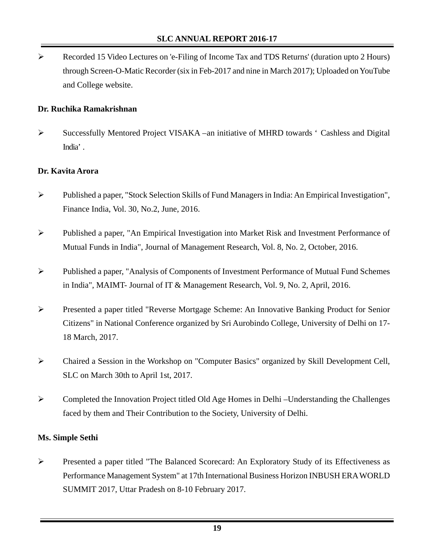¾ Recorded 15 Video Lectures on 'e-Filing of Income Tax and TDS Returns' (duration upto 2 Hours) through Screen-O-Matic Recorder (six in Feb-2017 and nine in March 2017); Uploaded on YouTube and College website.

#### **Dr. Ruchika Ramakrishnan**

 $\triangleright$  Successfully Mentored Project VISAKA – an initiative of MHRD towards ' Cashless and Digital India'.

#### **Dr. Kavita Arora**

- ¾ Published a paper, "Stock Selection Skills of Fund Managers in India: An Empirical Investigation", Finance India, Vol. 30, No.2, June, 2016.
- ¾ Published a paper, "An Empirical Investigation into Market Risk and Investment Performance of Mutual Funds in India", Journal of Management Research, Vol. 8, No. 2, October, 2016.
- ¾ Published a paper, "Analysis of Components of Investment Performance of Mutual Fund Schemes in India", MAIMT- Journal of IT & Management Research, Vol. 9, No. 2, April, 2016.
- ¾ Presented a paper titled "Reverse Mortgage Scheme: An Innovative Banking Product for Senior Citizens" in National Conference organized by Sri Aurobindo College, University of Delhi on 17- 18 March, 2017.
- ¾ Chaired a Session in the Workshop on "Computer Basics" organized by Skill Development Cell, SLC on March 30th to April 1st, 2017.
- ¾ Completed the Innovation Project titled Old Age Homes in Delhi Understanding the Challenges faced by them and Their Contribution to the Society, University of Delhi.

#### **Ms. Simple Sethi**

¾ Presented a paper titled "The Balanced Scorecard: An Exploratory Study of its Effectiveness as Performance Management System" at 17th International Business Horizon INBUSH ERA WORLD SUMMIT 2017, Uttar Pradesh on 8-10 February 2017.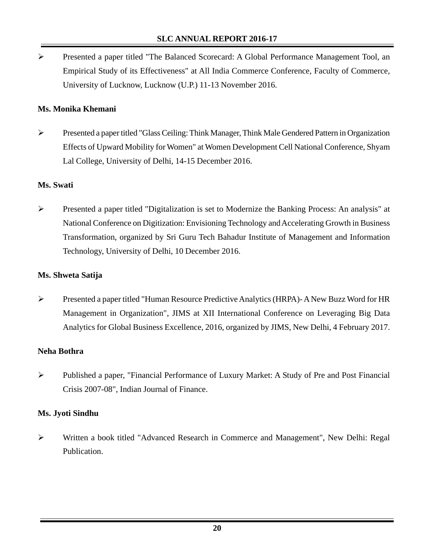¾ Presented a paper titled "The Balanced Scorecard: A Global Performance Management Tool, an Empirical Study of its Effectiveness" at All India Commerce Conference, Faculty of Commerce, University of Lucknow, Lucknow (U.P.) 11-13 November 2016.

## **Ms. Monika Khemani**

¾ Presented a paper titled "Glass Ceiling: Think Manager, Think Male Gendered Pattern in Organization Effects of Upward Mobility for Women" at Women Development Cell National Conference, Shyam Lal College, University of Delhi, 14-15 December 2016.

#### **Ms. Swati**

¾ Presented a paper titled "Digitalization is set to Modernize the Banking Process: An analysis" at National Conference on Digitization: Envisioning Technology and Accelerating Growth in Business Transformation, organized by Sri Guru Tech Bahadur Institute of Management and Information Technology, University of Delhi, 10 December 2016.

#### **Ms. Shweta Satija**

¾ Presented a paper titled "Human Resource Predictive Analytics (HRPA)- A New Buzz Word for HR Management in Organization", JIMS at XII International Conference on Leveraging Big Data Analytics for Global Business Excellence, 2016, organized by JIMS, New Delhi, 4 February 2017.

#### **Neha Bothra**

¾ Published a paper, "Financial Performance of Luxury Market: A Study of Pre and Post Financial Crisis 2007-08", Indian Journal of Finance.

#### **Ms. Jyoti Sindhu**

¾ Written a book titled "Advanced Research in Commerce and Management", New Delhi: Regal Publication.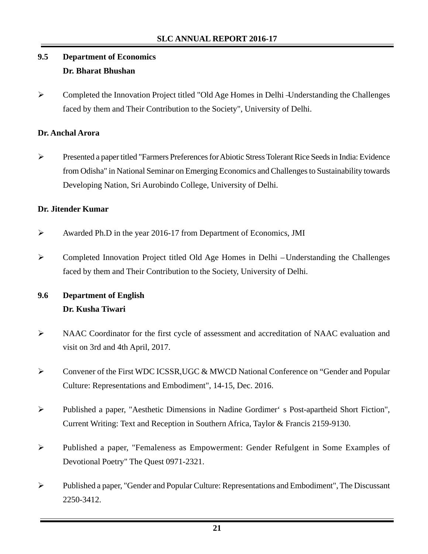# **9.5 Department of Economics Dr. Bharat Bhushan**

¾ Completed the Innovation Project titled "Old Age Homes in Delhi –Understanding the Challenges faced by them and Their Contribution to the Society", University of Delhi.

## **Dr. Anchal Arora**

¾ Presented a paper titled "Farmers Preferences for Abiotic Stress Tolerant Rice Seeds in India: Evidence from Odisha" in National Seminar on Emerging Economics and Challenges to Sustainability towards Developing Nation, Sri Aurobindo College, University of Delhi.

## **Dr. Jitender Kumar**

- ¾ Awarded Ph.D in the year 2016-17 from Department of Economics, JMI
- ¾ Completed Innovation Project titled Old Age Homes in Delhi Understanding the Challenges faced by them and Their Contribution to the Society, University of Delhi.

# **9.6 Department of English Dr. Kusha Tiwari**

- ¾ NAAC Coordinator for the first cycle of assessment and accreditation of NAAC evaluation and visit on 3rd and 4th April, 2017.
- ¾ Convener of the First WDC ICSSR,UGC & MWCD National Conference on "Gender and Popular Culture: Representations and Embodiment", 14-15, Dec. 2016.
- ¾ Published a paper, "Aesthetic Dimensions in Nadine Gordimer's Post-apartheid Short Fiction", Current Writing: Text and Reception in Southern Africa, Taylor & Francis 2159-9130.
- ¾ Published a paper, "Femaleness as Empowerment: Gender Refulgent in Some Examples of Devotional Poetry" The Quest 0971-2321.
- ¾ Published a paper, "Gender and Popular Culture: Representations and Embodiment", The Discussant 2250-3412.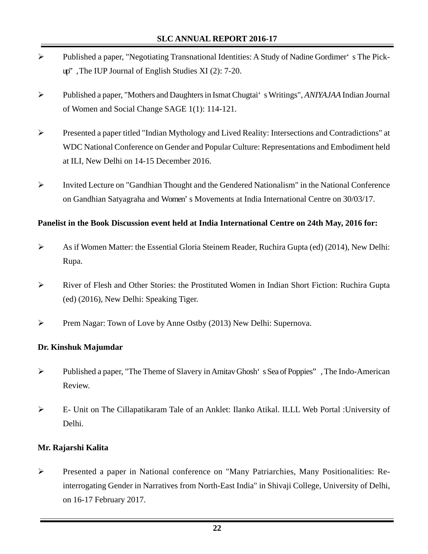- ¾ Published a paper, "Negotiating Transnational Identities: A Study of Nadine Gordimer's The Pickup", The IUP Journal of English Studies XI (2): 7-20.
- ¾ Published a paper, "Mothers and Daughters in Ismat Chugtai's Writings", *ANIYAJAA* Indian Journal of Women and Social Change SAGE 1(1): 114-121.
- ¾ Presented a paper titled "Indian Mythology and Lived Reality: Intersections and Contradictions" at WDC National Conference on Gender and Popular Culture: Representations and Embodiment held at ILI, New Delhi on 14-15 December 2016.
- ¾ Invited Lecture on "Gandhian Thought and the Gendered Nationalism" in the National Conference on Gandhian Satyagraha and Women's Movements at India International Centre on 30/03/17.

#### **Panelist in the Book Discussion event held at India International Centre on 24th May, 2016 for:**

- ¾ As if Women Matter: the Essential Gloria Steinem Reader, Ruchira Gupta (ed) (2014), New Delhi: Rupa.
- ¾ River of Flesh and Other Stories: the Prostituted Women in Indian Short Fiction: Ruchira Gupta (ed) (2016), New Delhi: Speaking Tiger.
- ¾ Prem Nagar: Town of Love by Anne Ostby (2013) New Delhi: Supernova.

#### **Dr. Kinshuk Majumdar**

- ¾ Published a paper, "The Theme of Slavery in Amitav Ghosh's Sea of Poppies", The Indo-American Review.
- ¾ E- Unit on The Cillapatikaram Tale of an Anklet: Ilanko Atikal. ILLL Web Portal :University of Delhi.

#### **Mr. Rajarshi Kalita**

¾ Presented a paper in National conference on "Many Patriarchies, Many Positionalities: Reinterrogating Gender in Narratives from North-East India" in Shivaji College, University of Delhi, on 16-17 February 2017.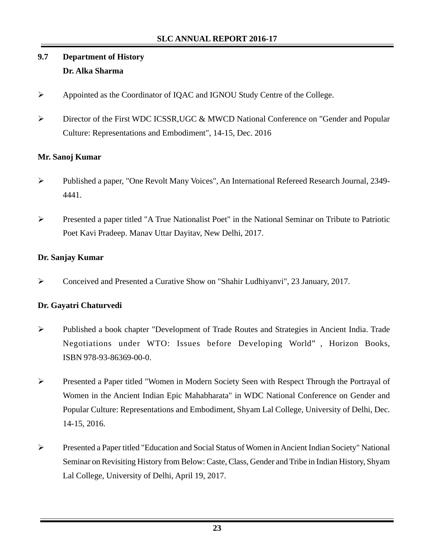# **9.7 Department of History Dr. Alka Sharma**

- ¾ Appointed as the Coordinator of IQAC and IGNOU Study Centre of the College.
- ¾ Director of the First WDC ICSSR,UGC & MWCD National Conference on "Gender and Popular Culture: Representations and Embodiment", 14-15, Dec. 2016

## **Mr. Sanoj Kumar**

- ¾ Published a paper, "One Revolt Many Voices", An International Refereed Research Journal, 2349- 4441.
- ¾ Presented a paper titled "A True Nationalist Poet" in the National Seminar on Tribute to Patriotic Poet Kavi Pradeep. Manav Uttar Dayitav, New Delhi, 2017.

## **Dr. Sanjay Kumar**

¾ Conceived and Presented a Curative Show on "Shahir Ludhiyanvi", 23 January, 2017.

## **Dr. Gayatri Chaturvedi**

- ¾ Published a book chapter "Development of Trade Routes and Strategies in Ancient India. Trade Negotiations under WTO: Issues before Developing World", Horizon Books, ISBN 978-93-86369-00-0.
- ¾ Presented a Paper titled "Women in Modern Society Seen with Respect Through the Portrayal of Women in the Ancient Indian Epic Mahabharata" in WDC National Conference on Gender and Popular Culture: Representations and Embodiment, Shyam Lal College, University of Delhi, Dec. 14-15, 2016.
- ¾ Presented a Paper titled "Education and Social Status of Women in Ancient Indian Society" National Seminar on Revisiting History from Below: Caste, Class, Gender and Tribe in Indian History, Shyam Lal College, University of Delhi, April 19, 2017.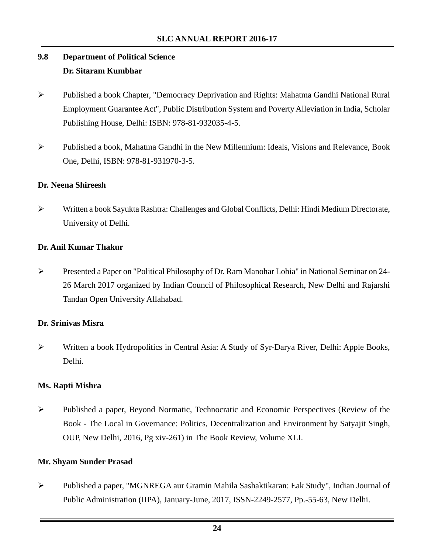# **9.8 Department of Political Science Dr. Sitaram Kumbhar**

- ¾ Published a book Chapter, "Democracy Deprivation and Rights: Mahatma Gandhi National Rural Employment Guarantee Act", Public Distribution System and Poverty Alleviation in India, Scholar Publishing House, Delhi: ISBN: 978-81-932035-4-5.
- ¾ Published a book, Mahatma Gandhi in the New Millennium: Ideals, Visions and Relevance, Book One, Delhi, ISBN: 978-81-931970-3-5.

## **Dr. Neena Shireesh**

¾ Written a book Sayukta Rashtra: Challenges and Global Conflicts, Delhi: Hindi Medium Directorate, University of Delhi.

#### **Dr. Anil Kumar Thakur**

¾ Presented a Paper on "Political Philosophy of Dr. Ram Manohar Lohia" in National Seminar on 24- 26 March 2017 organized by Indian Council of Philosophical Research, New Delhi and Rajarshi Tandan Open University Allahabad.

#### **Dr. Srinivas Misra**

¾ Written a book Hydropolitics in Central Asia: A Study of Syr-Darya River, Delhi: Apple Books, Delhi.

#### **Ms. Rapti Mishra**

¾ Published a paper, Beyond Normatic, Technocratic and Economic Perspectives (Review of the Book - The Local in Governance: Politics, Decentralization and Environment by Satyajit Singh, OUP, New Delhi, 2016, Pg xiv-261) in The Book Review, Volume XLI.

#### **Mr. Shyam Sunder Prasad**

¾ Published a paper, "MGNREGA aur Gramin Mahila Sashaktikaran: Eak Study", Indian Journal of Public Administration (IIPA), January-June, 2017, ISSN-2249-2577, Pp.-55-63, New Delhi.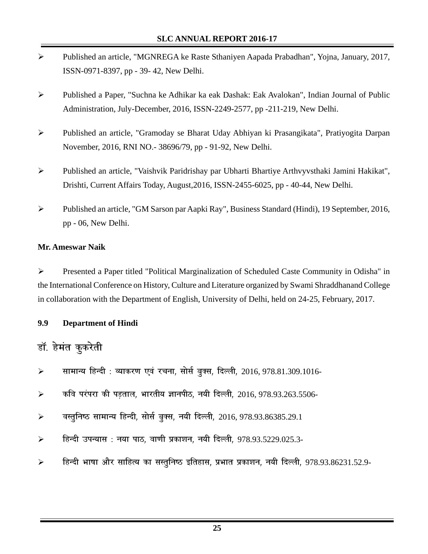- ¾ Published an article, "MGNREGA ke Raste Sthaniyen Aapada Prabadhan", Yojna, January, 2017, ISSN-0971-8397, pp - 39- 42, New Delhi.
- ¾ Published a Paper, "Suchna ke Adhikar ka eak Dashak: Eak Avalokan", Indian Journal of Public Administration, July-December, 2016, ISSN-2249-2577, pp -211-219, New Delhi.
- ¾ Published an article, "Gramoday se Bharat Uday Abhiyan ki Prasangikata", Pratiyogita Darpan November, 2016, RNI NO.- 38696/79, pp - 91-92, New Delhi.
- ¾ Published an article, "Vaishvik Paridrishay par Ubharti Bhartiye Arthvyvsthaki Jamini Hakikat", Drishti, Current Affairs Today, August,2016, ISSN-2455-6025, pp - 40-44, New Delhi.
- ¾ Published an article, "GM Sarson par Aapki Ray", Business Standard (Hindi), 19 September, 2016, pp - 06, New Delhi.

#### **Mr. Ameswar Naik**

¾ Presented a Paper titled "Political Marginalization of Scheduled Caste Community in Odisha" in the International Conference on History, Culture and Literature organized by Swami Shraddhanand College in collaboration with the Department of English, University of Delhi, held on 24-25, February, 2017.

#### **9.9 Department of Hindi**

# डॉ. हेमंत कुकरेती

- ≻ सामान्य हिन्दी : व्याकरण एवं रचना, सोर्स बुक्स, दिल्ली, 2016, 978.81.309.1016-
- ¾ **dfo ijaijk dh iM+rky] Hkkjrh; KkuihB] u;h fnYyh]** 2016, 978.93.263.5506-
- ¾ **oLrqfu"B lkekU; fgUnh] lkslZ cqDl] u;h fnYyh]** 2016, 978.93.86385.29.1
- ¾ **fgUnh miU;kl % u;k ikB] ok.kh izdk'ku] u;h fnYyh]** 978.93.5229.025.3-
- <mark>⊱ हिन्दी भाषा और साहित्य का सस्तुनिष्ठ इतिहास, प्रभात प्रकाशन, नयी दिल्ली, 978.93.86231.52.9-</mark>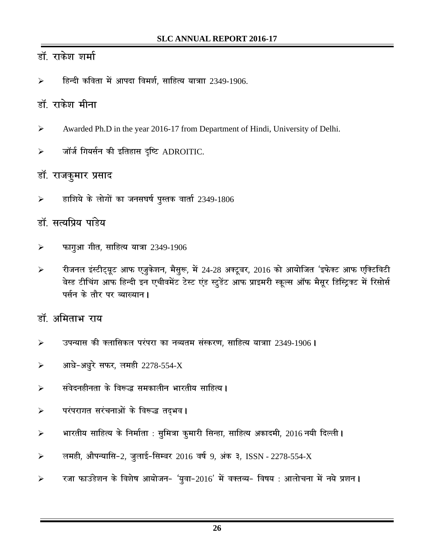# डॉ. राकेश शर्मा

हिन्दी कविता में आपदा विमर्श, साहित्य यात्राा 2349-1906.

# <u>डॉ. राकेश मीना</u>

- ¾ Awarded Ph.D in the year 2016-17 from Department of Hindi, University of Delhi.
- ¾ **tkWtZ fx;lZu dh bfrgkl** n`**f"V** ADROITIC.

# डॉ. राजकुमार प्रसा**द**

¾ **gkf'k;s ds yksxksa dk tul?k"kZ iqLrd okrkZ** 2349-1806

# डॉ. सत्यप्रिय पांडेय

- ¾ **Qkxqvk xhr] lkfgR; ;k=k** 2349-1906
- <mark>≻ रीजनल इंस्टीट्यूट आफ एजूकेशन, मैसूरू, में</mark> 24-28 अक्टूबर, 2016 को आयोजित 'इफेक्ट आफ एक्टिविटी बेस्ड टीचिंग आफ हिन्दी इन एचीवमेंट टेस्ट एंड स्टूडेंट आफ प्राइमरी स्कूल्स ऑफ मैसूर डिस्ट्रिक्ट में रिसोर्स पर्सन के तौर पर व्याख्यान l

# डॉ. अमिताभ राय

- ¾ **miU;kl dh Dykfldy ijaijk dk uO;re laLdj.k] lkfgR; ;k=kk** 2349-1906**A**
- ¾ **vk/ks&v/kqjs lQj] yegh** 2278-554-X
- **≯ संवेदनहीनता के विरूद्ध समकालीन भारतीय साहित्य ।**
- **≯ परंपरागत सरंचनाओं के विरूद्ध तद्भव ।**
- <mark>≻ भारतीय साहित्य के निर्माता : सुमित्रा कुमारी सिन्हा, साहित्य अकादमी, 2016 नयी दिल्ली **।**</mark>
- ¾ **yegh] vkSiU;kfl&**2**] tqykbZ&flEcj** 2016 **o"kZ** 9**] vad 3]** ISSN 2278-554-X
- $\triangleright$  रजा फाउंडेशन के विशेष आयोजन- 'यूवा-2016' में वक्तव्य- विषय : आलोचना में नये प्रशन **।**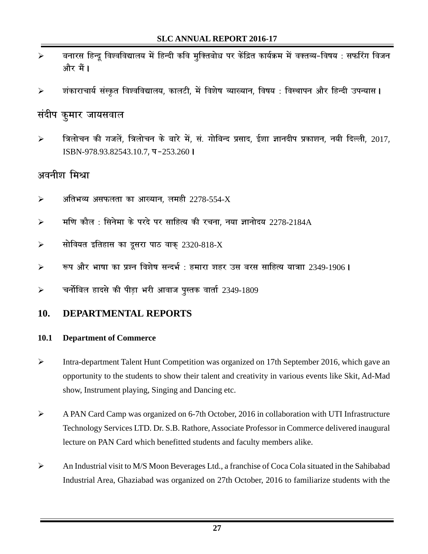- **≽ बनारस हिन्दू विश्वविद्यालय में हिन्दी कवि मूक्तिबोध पर केंद्रित कार्यक्रम में वक्तव्य-विषय : सफरिंग विजन** और मैं **।**
- <mark>≻ संकाराचार्य संस्कृत विश्वविद्यालय, कालटी, में विशेष व्याख्यान, विषय : विस्थापन और हिन्दी उपन्यास I</mark>

# संदीप कूमार जायसवा**ल**

<mark>≻ विलोचन की गजलें. त्रिलोचन के बारे में. सं. गोबिन्द प्रसाद. ईशा ज्ञानदीप प्रकाशन. नयी दिल्ली. 2017.</mark> ISBN-978.93.82543.10.7**] i &**253.260**A**

# अवनीश मिश्रा

- $\blacktriangleright$  अतिभव्य असफलता का आख्यान, लमही  $2278$ -554-X
- ¾ **ef.k dkSy % flusek ds ijns ij lkfgR; dh jpuk] u;k Kkuksn;** 2278-2184A
- ¾ **lksfo;r bfrgkl dk nwljk ikB okd~** 2320-818-X
- ¾ **:i vkSj Hkk"kk dk iz'u fo'ks"k lUnHkZ % gekjk 'kgj ml cjl lkfgR; ;k=kk** 2349-1906**A**
- ¾ **puksZfcy gknls dh ihM+k Hkjh vkokt iqLrd okrkZ** 2349-1809

## **10. DEPARTMENTAL REPORTS**

## **10.1 Department of Commerce**

- ¾ Intra-department Talent Hunt Competition was organized on 17th September 2016, which gave an opportunity to the students to show their talent and creativity in various events like Skit, Ad-Mad show, Instrument playing, Singing and Dancing etc.
- ¾ A PAN Card Camp was organized on 6-7th October, 2016 in collaboration with UTI Infrastructure Technology Services LTD. Dr. S.B. Rathore, Associate Professor in Commerce delivered inaugural lecture on PAN Card which benefitted students and faculty members alike.
- ¾ An Industrial visit to M/S Moon Beverages Ltd., a franchise of Coca Cola situated in the Sahibabad Industrial Area, Ghaziabad was organized on 27th October, 2016 to familiarize students with the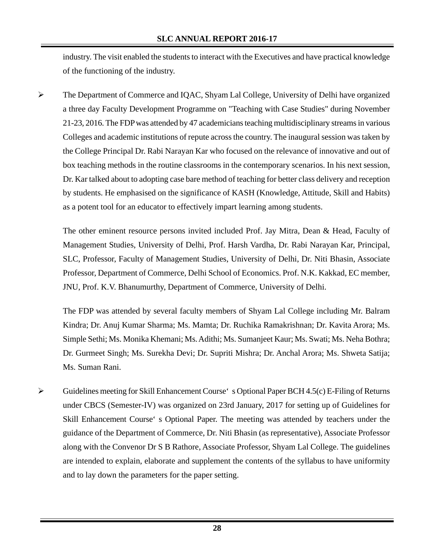industry. The visit enabled the students to interact with the Executives and have practical knowledge of the functioning of the industry.

¾ The Department of Commerce and IQAC, Shyam Lal College, University of Delhi have organized a three day Faculty Development Programme on "Teaching with Case Studies" during November 21-23, 2016. The FDP was attended by 47 academicians teaching multidisciplinary streams in various Colleges and academic institutions of repute across the country. The inaugural session was taken by the College Principal Dr. Rabi Narayan Kar who focused on the relevance of innovative and out of box teaching methods in the routine classrooms in the contemporary scenarios. In his next session, Dr. Kar talked about to adopting case bare method of teaching for better class delivery and reception by students. He emphasised on the significance of KASH (Knowledge, Attitude, Skill and Habits) as a potent tool for an educator to effectively impart learning among students.

The other eminent resource persons invited included Prof. Jay Mitra, Dean & Head, Faculty of Management Studies, University of Delhi, Prof. Harsh Vardha, Dr. Rabi Narayan Kar, Principal, SLC, Professor, Faculty of Management Studies, University of Delhi, Dr. Niti Bhasin, Associate Professor, Department of Commerce, Delhi School of Economics. Prof. N.K. Kakkad, EC member, JNU, Prof. K.V. Bhanumurthy, Department of Commerce, University of Delhi.

The FDP was attended by several faculty members of Shyam Lal College including Mr. Balram Kindra; Dr. Anuj Kumar Sharma; Ms. Mamta; Dr. Ruchika Ramakrishnan; Dr. Kavita Arora; Ms. Simple Sethi; Ms. Monika Khemani; Ms. Adithi; Ms. Sumanjeet Kaur; Ms. Swati; Ms. Neha Bothra; Dr. Gurmeet Singh; Ms. Surekha Devi; Dr. Supriti Mishra; Dr. Anchal Arora; Ms. Shweta Satija; Ms. Suman Rani.

 $\triangleright$  Guidelines meeting for Skill Enhancement Course 's Optional Paper BCH 4.5(c) E-Filing of Returns under CBCS (Semester-IV) was organized on 23rd January, 2017 for setting up of Guidelines for Skill Enhancement Course's Optional Paper. The meeting was attended by teachers under the guidance of the Department of Commerce, Dr. Niti Bhasin (as representative), Associate Professor along with the Convenor Dr S B Rathore, Associate Professor, Shyam Lal College. The guidelines are intended to explain, elaborate and supplement the contents of the syllabus to have uniformity and to lay down the parameters for the paper setting.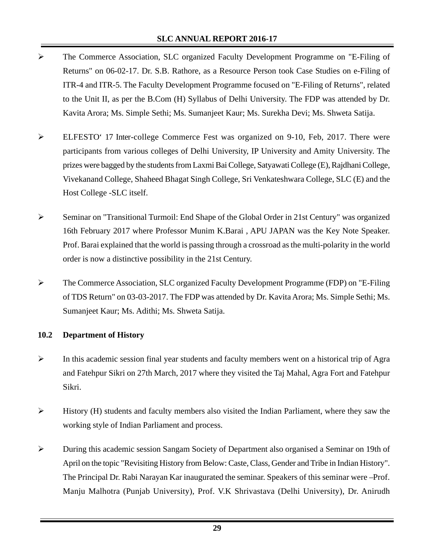- ¾ The Commerce Association, SLC organized Faculty Development Programme on "E-Filing of Returns" on 06-02-17. Dr. S.B. Rathore, as a Resource Person took Case Studies on e-Filing of ITR-4 and ITR-5. The Faculty Development Programme focused on "E-Filing of Returns", related to the Unit II, as per the B.Com (H) Syllabus of Delhi University. The FDP was attended by Dr. Kavita Arora; Ms. Simple Sethi; Ms. Sumanjeet Kaur; Ms. Surekha Devi; Ms. Shweta Satija.
- ¾ ELFESTO'17 Inter-college Commerce Fest was organized on 9-10, Feb, 2017. There were participants from various colleges of Delhi University, IP University and Amity University. The prizes were bagged by the students from Laxmi Bai College, Satyawati College (E), Rajdhani College, Vivekanand College, Shaheed Bhagat Singh College, Sri Venkateshwara College, SLC (E) and the Host College -SLC itself.
- ¾ Seminar on "Transitional Turmoil: End Shape of the Global Order in 21st Century" was organized 16th February 2017 where Professor Munim K.Barai , APU JAPAN was the Key Note Speaker. Prof. Barai explained that the world is passing through a crossroad as the multi-polarity in the world order is now a distinctive possibility in the 21st Century.
- ¾ The Commerce Association, SLC organized Faculty Development Programme (FDP) on "E-Filing of TDS Return" on 03-03-2017. The FDP was attended by Dr. Kavita Arora; Ms. Simple Sethi; Ms. Sumanjeet Kaur; Ms. Adithi; Ms. Shweta Satija.

#### **10.2 Department of History**

- $\triangleright$  In this academic session final year students and faculty members went on a historical trip of Agra and Fatehpur Sikri on 27th March, 2017 where they visited the Taj Mahal, Agra Fort and Fatehpur Sikri.
- ¾ History (H) students and faculty members also visited the Indian Parliament, where they saw the working style of Indian Parliament and process.
- ¾ During this academic session Sangam Society of Department also organised a Seminar on 19th of April on the topic "Revisiting History from Below: Caste, Class, Gender and Tribe in Indian History". The Principal Dr. Rabi Narayan Kar inaugurated the seminar. Speakers of this seminar were – Prof. Manju Malhotra (Punjab University), Prof. V.K Shrivastava (Delhi University), Dr. Anirudh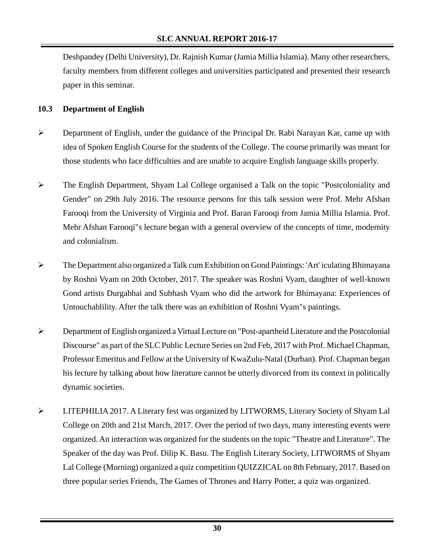Deshpandey (Delhi University), Dr. Rajnish Kumar (Jamia Millia Islamia). Many other researchers, faculty members from different colleges and universities participated and presented their research paper in this seminar.

#### **10.3 Department of English**

- ¾ Department of English, under the guidance of the Principal Dr. Rabi Narayan Kar, came up with idea of Spoken English Course for the students of the College. The course primarily was meant for those students who face difficulties and are unable to acquire English language skills properly.
- $\triangleright$  The English Department, Shyam Lal College organised a Talk on the topic "Postcoloniality and Gender" on 29th July 2016. The resource persons for this talk session were Prof. Mehr Afshan Farooqi from the University of Virginia and Prof. Baran Farooqi from Jamia Millia Islamia. Prof. Mehr Afshan Farooqi"s lecture began with a general overview of the concepts of time, modernity and colonialism.
- ¾ The Department also organized a Talk cum Exhibition on Gond Paintings: 'Art' iculating Bhimayana by Roshni Vyam on 20th October, 2017. The speaker was Roshni Vyam, daughter of well-known Gond artists Durgabhai and Subhash Vyam who did the artwork for Bhimayana: Experiences of Untouchablility. After the talk there was an exhibition of Roshni Vyam"s paintings.
- ¾ Department of English organized a Virtual Lecture on "Post-apartheid Literature and the Postcolonial Discourse" as part of the SLC Public Lecture Series on 2nd Feb, 2017 with Prof. Michael Chapman, Professor Emeritus and Fellow at the University of KwaZulu-Natal (Durban). Prof. Chapman began his lecture by talking about how literature cannot be utterly divorced from its context in politically dynamic societies.
- ¾ LITEPHILIA 2017. A Literary fest was organized by LITWORMS, Literary Society of Shyam Lal College on 20th and 21st March, 2017. Over the period of two days, many interesting events were organized. An interaction was organized for the students on the topic "Theatre and Literature". The Speaker of the day was Prof. Dilip K. Basu. The English Literary Society, LITWORMS of Shyam Lal College (Morning) organized a quiz competition QUIZZICAL on 8th February, 2017. Based on three popular series Friends, The Games of Thrones and Harry Potter, a quiz was organized.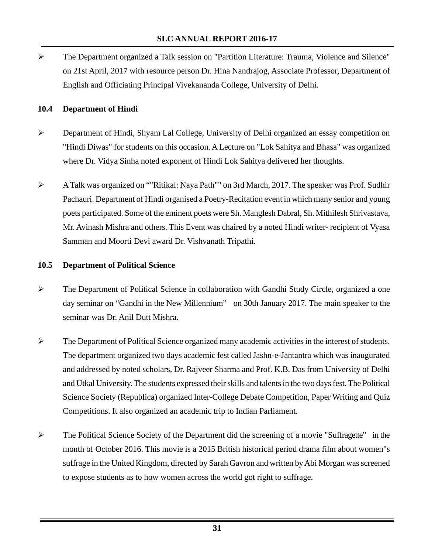¾ The Department organized a Talk session on "Partition Literature: Trauma, Violence and Silence" on 21st April, 2017 with resource person Dr. Hina Nandrajog, Associate Professor, Department of English and Officiating Principal Vivekananda College, University of Delhi.

#### **10.4 Department of Hindi**

- ¾ Department of Hindi, Shyam Lal College, University of Delhi organized an essay competition on "Hindi Diwas" for students on this occasion. A Lecture on "Lok Sahitya and Bhasa" was organized where Dr. Vidya Sinha noted exponent of Hindi Lok Sahitya delivered her thoughts.
- ¾ A Talk was organized on ""Ritikal: Naya Path"" on 3rd March, 2017. The speaker was Prof. Sudhir Pachauri. Department of Hindi organised a Poetry-Recitation event in which many senior and young poets participated. Some of the eminent poets were Sh. Manglesh Dabral, Sh. Mithilesh Shrivastava, Mr. Avinash Mishra and others. This Event was chaired by a noted Hindi writer- recipient of Vyasa Samman and Moorti Devi award Dr. Vishvanath Tripathi.

## **10.5 Department of Political Science**

- ¾ The Department of Political Science in collaboration with Gandhi Study Circle, organized a one day seminar on "Gandhi in the New Millennium" on 30th January 2017. The main speaker to the seminar was Dr. Anil Dutt Mishra.
- $\triangleright$  The Department of Political Science organized many academic activities in the interest of students. The department organized two days academic fest called Jashn-e-Jantantra which was inaugurated and addressed by noted scholars, Dr. Rajveer Sharma and Prof. K.B. Das from University of Delhi and Utkal University. The students expressed their skills and talents in the two days fest. The Political Science Society (Republica) organized Inter-College Debate Competition, Paper Writing and Quiz Competitions. It also organized an academic trip to Indian Parliament.
- $\triangleright$  The Political Science Society of the Department did the screening of a movie "Suffragette" in the month of October 2016. This movie is a 2015 British historical period drama film about women"s suffrage in the United Kingdom, directed by Sarah Gavron and written by Abi Morgan was screened to expose students as to how women across the world got right to suffrage.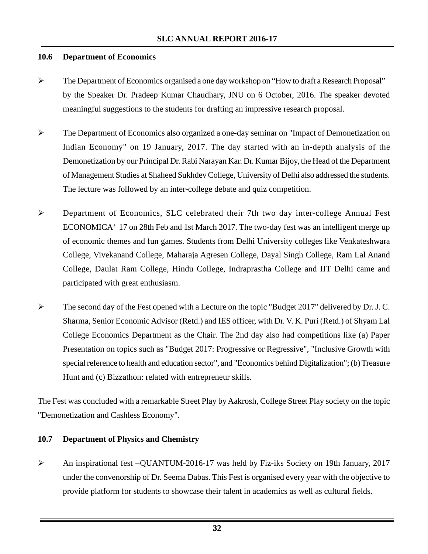#### **10.6 Department of Economics**

- ¾ The Department of Economics organised a one day workshop on "How to draft a Research Proposal" by the Speaker Dr. Pradeep Kumar Chaudhary, JNU on 6 October, 2016. The speaker devoted meaningful suggestions to the students for drafting an impressive research proposal.
- ¾ The Department of Economics also organized a one-day seminar on "Impact of Demonetization on Indian Economy" on 19 January, 2017. The day started with an in-depth analysis of the Demonetization by our Principal Dr. Rabi Narayan Kar. Dr. Kumar Bijoy, the Head of the Department of Management Studies at Shaheed Sukhdev College, University of Delhi also addressed the students. The lecture was followed by an inter-college debate and quiz competition.
- ¾ Department of Economics, SLC celebrated their 7th two day inter-college Annual Fest ECONOMICA<sup> $\cdot$ </sup> 17 on 28th Feb and 1st March 2017. The two-day fest was an intelligent merge up of economic themes and fun games. Students from Delhi University colleges like Venkateshwara College, Vivekanand College, Maharaja Agresen College, Dayal Singh College, Ram Lal Anand College, Daulat Ram College, Hindu College, Indraprastha College and IIT Delhi came and participated with great enthusiasm.
- ¾ The second day of the Fest opened with a Lecture on the topic "Budget 2017" delivered by Dr. J. C. Sharma, Senior Economic Advisor (Retd.) and IES officer, with Dr. V. K. Puri (Retd.) of Shyam Lal College Economics Department as the Chair. The 2nd day also had competitions like (a) Paper Presentation on topics such as "Budget 2017: Progressive or Regressive", "Inclusive Growth with special reference to health and education sector", and "Economics behind Digitalization"; (b) Treasure Hunt and (c) Bizzathon: related with entrepreneur skills.

The Fest was concluded with a remarkable Street Play by Aakrosh, College Street Play society on the topic "Demonetization and Cashless Economy".

#### **10.7 Department of Physics and Chemistry**

¾ An inspirational fest – QUANTUM-2016-17 was held by Fiz-iks Society on 19th January, 2017 under the convenorship of Dr. Seema Dabas. This Fest is organised every year with the objective to provide platform for students to showcase their talent in academics as well as cultural fields.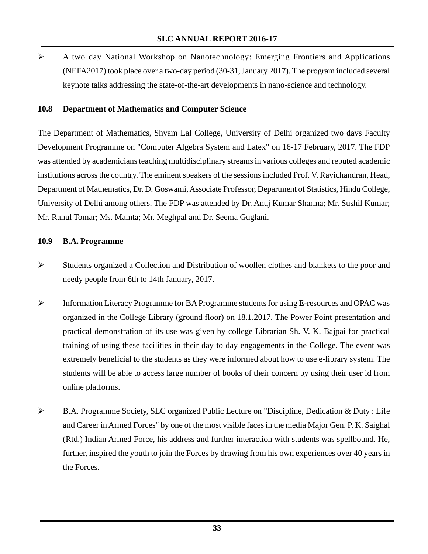$\triangleright$  A two day National Workshop on Nanotechnology: Emerging Frontiers and Applications (NEFA2017) took place over a two-day period (30-31, January 2017). The program included several keynote talks addressing the state-of-the-art developments in nano-science and technology.

#### **10.8 Department of Mathematics and Computer Science**

The Department of Mathematics, Shyam Lal College, University of Delhi organized two days Faculty Development Programme on "Computer Algebra System and Latex" on 16-17 February, 2017. The FDP was attended by academicians teaching multidisciplinary streams in various colleges and reputed academic institutions across the country. The eminent speakers of the sessions included Prof. V. Ravichandran, Head, Department of Mathematics, Dr. D. Goswami, Associate Professor, Department of Statistics, Hindu College, University of Delhi among others. The FDP was attended by Dr. Anuj Kumar Sharma; Mr. Sushil Kumar; Mr. Rahul Tomar; Ms. Mamta; Mr. Meghpal and Dr. Seema Guglani.

#### **10.9 B.A. Programme**

- ¾ Students organized a Collection and Distribution of woollen clothes and blankets to the poor and needy people from 6th to 14th January, 2017.
- ¾ Information Literacy Programme for BA Programme students for using E-resources and OPAC was organized in the College Library (ground floor) on 18.1.2017. The Power Point presentation and practical demonstration of its use was given by college Librarian Sh. V. K. Bajpai for practical training of using these facilities in their day to day engagements in the College. The event was extremely beneficial to the students as they were informed about how to use e-library system. The students will be able to access large number of books of their concern by using their user id from online platforms.
- ¾ B.A. Programme Society, SLC organized Public Lecture on "Discipline, Dedication & Duty : Life and Career in Armed Forces" by one of the most visible faces in the media Major Gen. P. K. Saighal (Rtd.) Indian Armed Force, his address and further interaction with students was spellbound. He, further, inspired the youth to join the Forces by drawing from his own experiences over 40 years in the Forces.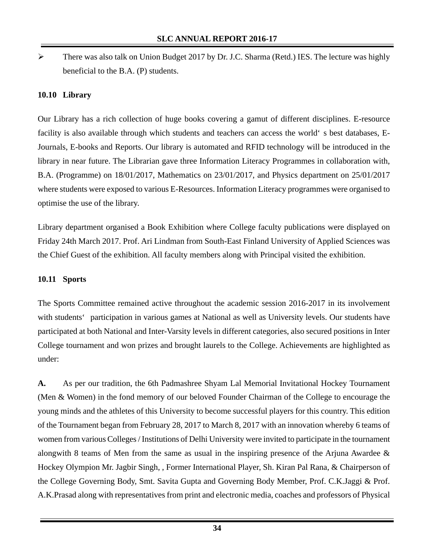¾ There was also talk on Union Budget 2017 by Dr. J.C. Sharma (Retd.) IES. The lecture was highly beneficial to the B.A. (P) students.

## **10.10 Library**

Our Library has a rich collection of huge books covering a gamut of different disciplines. E-resource facility is also available through which students and teachers can access the world's best databases, E-Journals, E-books and Reports. Our library is automated and RFID technology will be introduced in the library in near future. The Librarian gave three Information Literacy Programmes in collaboration with, B.A. (Programme) on 18/01/2017, Mathematics on 23/01/2017, and Physics department on 25/01/2017 where students were exposed to various E-Resources. Information Literacy programmes were organised to optimise the use of the library.

Library department organised a Book Exhibition where College faculty publications were displayed on Friday 24th March 2017. Prof. Ari Lindman from South-East Finland University of Applied Sciences was the Chief Guest of the exhibition. All faculty members along with Principal visited the exhibition.

#### **10.11 Sports**

The Sports Committee remained active throughout the academic session 2016-2017 in its involvement with students' participation in various games at National as well as University levels. Our students have participated at both National and Inter-Varsity levels in different categories, also secured positions in Inter College tournament and won prizes and brought laurels to the College. Achievements are highlighted as under:

**A.** As per our tradition, the 6th Padmashree Shyam Lal Memorial Invitational Hockey Tournament (Men & Women) in the fond memory of our beloved Founder Chairman of the College to encourage the young minds and the athletes of this University to become successful players for this country. This edition of the Tournament began from February 28, 2017 to March 8, 2017 with an innovation whereby 6 teams of women from various Colleges / Institutions of Delhi University were invited to participate in the tournament alongwith 8 teams of Men from the same as usual in the inspiring presence of the Arjuna Awardee & Hockey Olympion Mr. Jagbir Singh, , Former International Player, Sh. Kiran Pal Rana, & Chairperson of the College Governing Body, Smt. Savita Gupta and Governing Body Member, Prof. C.K.Jaggi & Prof. A.K.Prasad along with representatives from print and electronic media, coaches and professors of Physical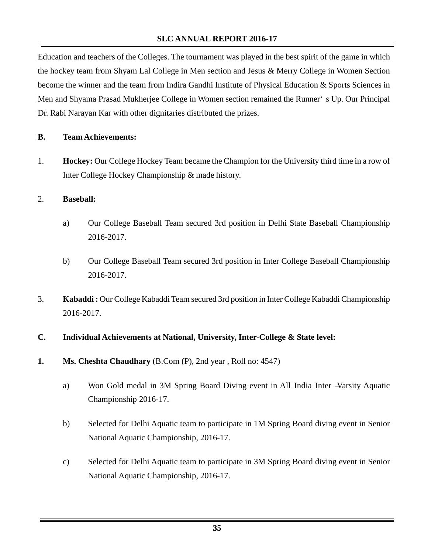Education and teachers of the Colleges. The tournament was played in the best spirit of the game in which the hockey team from Shyam Lal College in Men section and Jesus & Merry College in Women Section become the winner and the team from Indira Gandhi Institute of Physical Education & Sports Sciences in Men and Shyama Prasad Mukherjee College in Women section remained the Runner's Up. Our Principal Dr. Rabi Narayan Kar with other dignitaries distributed the prizes.

#### **B. Team Achievements:**

1. **Hockey:** Our College Hockey Team became the Champion for the University third time in a row of Inter College Hockey Championship & made history.

#### 2. **Baseball:**

- a) Our College Baseball Team secured 3rd position in Delhi State Baseball Championship 2016-2017.
- b) Our College Baseball Team secured 3rd position in Inter College Baseball Championship 2016-2017.
- 3. **Kabaddi :** Our College Kabaddi Team secured 3rd position in Inter College Kabaddi Championship 2016-2017.
- **C. Individual Achievements at National, University, Inter-College & State level:**
- **1. Ms. Cheshta Chaudhary** (B.Com (P), 2nd year , Roll no: 4547)
	- a) Won Gold medal in 3M Spring Board Diving event in All India Inter –Varsity Aquatic Championship 2016-17.
	- b) Selected for Delhi Aquatic team to participate in 1M Spring Board diving event in Senior National Aquatic Championship, 2016-17.
	- c) Selected for Delhi Aquatic team to participate in 3M Spring Board diving event in Senior National Aquatic Championship, 2016-17.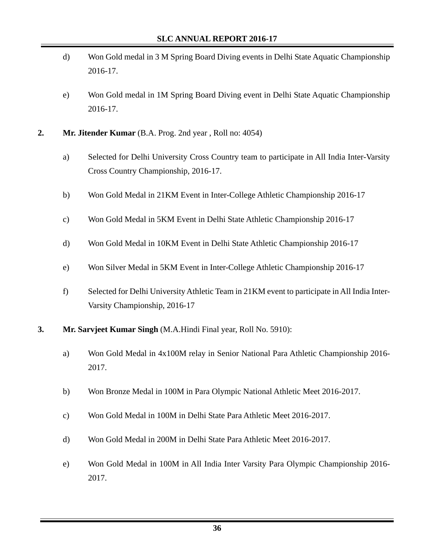- d) Won Gold medal in 3 M Spring Board Diving events in Delhi State Aquatic Championship 2016-17.
- e) Won Gold medal in 1M Spring Board Diving event in Delhi State Aquatic Championship 2016-17.
- **2. Mr. Jitender Kumar** (B.A. Prog. 2nd year , Roll no: 4054)
	- a) Selected for Delhi University Cross Country team to participate in All India Inter-Varsity Cross Country Championship, 2016-17.
	- b) Won Gold Medal in 21KM Event in Inter-College Athletic Championship 2016-17
	- c) Won Gold Medal in 5KM Event in Delhi State Athletic Championship 2016-17
	- d) Won Gold Medal in 10KM Event in Delhi State Athletic Championship 2016-17
	- e) Won Silver Medal in 5KM Event in Inter-College Athletic Championship 2016-17
	- f) Selected for Delhi University Athletic Team in 21KM event to participate in All India Inter-Varsity Championship, 2016-17
- **3. Mr. Sarvjeet Kumar Singh** (M.A.Hindi Final year, Roll No. 5910):
	- a) Won Gold Medal in 4x100M relay in Senior National Para Athletic Championship 2016- 2017.
	- b) Won Bronze Medal in 100M in Para Olympic National Athletic Meet 2016-2017.
	- c) Won Gold Medal in 100M in Delhi State Para Athletic Meet 2016-2017.
	- d) Won Gold Medal in 200M in Delhi State Para Athletic Meet 2016-2017.
	- e) Won Gold Medal in 100M in All India Inter Varsity Para Olympic Championship 2016- 2017.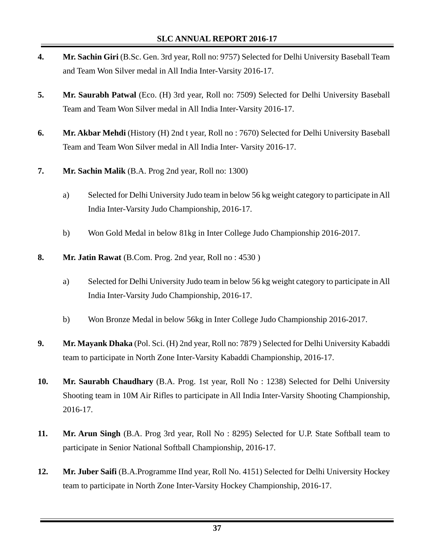- **4. Mr. Sachin Giri** (B.Sc. Gen. 3rd year, Roll no: 9757) Selected for Delhi University Baseball Team and Team Won Silver medal in All India Inter-Varsity 2016-17.
- **5.** Mr. Saurabh Patwal (Eco. (H) 3rd year, Roll no: 7509) Selected for Delhi University Baseball Team and Team Won Silver medal in All India Inter-Varsity 2016-17.
- **6. Mr. Akbar Mehdi** (History (H) 2nd t year, Roll no : 7670) Selected for Delhi University Baseball Team and Team Won Silver medal in All India Inter- Varsity 2016-17.
- **7. Mr. Sachin Malik** (B.A. Prog 2nd year, Roll no: 1300)
	- a) Selected for Delhi University Judo team in below 56 kg weight category to participate in All India Inter-Varsity Judo Championship, 2016-17.
	- b) Won Gold Medal in below 81kg in Inter College Judo Championship 2016-2017.
- **8.** Mr. Jatin Rawat (B.Com. Prog. 2nd year, Roll no : 4530)
	- a) Selected for Delhi University Judo team in below 56 kg weight category to participate in All India Inter-Varsity Judo Championship, 2016-17.
	- b) Won Bronze Medal in below 56kg in Inter College Judo Championship 2016-2017.
- **9. Mr. Mayank Dhaka** (Pol. Sci. (H) 2nd year, Roll no: 7879 ) Selected for Delhi University Kabaddi team to participate in North Zone Inter-Varsity Kabaddi Championship, 2016-17.
- **10. Mr. Saurabh Chaudhary** (B.A. Prog. 1st year, Roll No : 1238) Selected for Delhi University Shooting team in 10M Air Rifles to participate in All India Inter-Varsity Shooting Championship, 2016-17.
- **11. Mr. Arun Singh** (B.A. Prog 3rd year, Roll No : 8295) Selected for U.P. State Softball team to participate in Senior National Softball Championship, 2016-17.
- **12. Mr. Juber Saifi** (B.A.Programme IInd year, Roll No. 4151) Selected for Delhi University Hockey team to participate in North Zone Inter-Varsity Hockey Championship, 2016-17.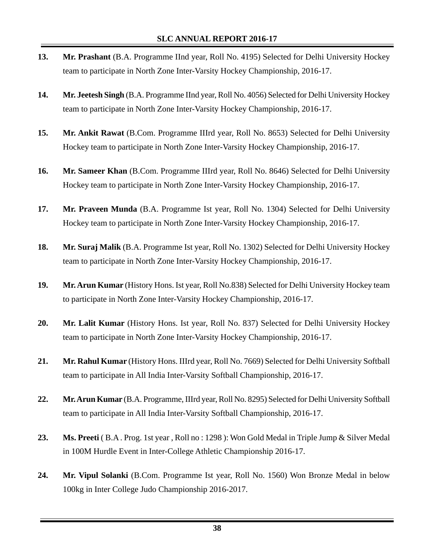- **13. Mr. Prashant** (B.A. Programme IInd year, Roll No. 4195) Selected for Delhi University Hockey team to participate in North Zone Inter-Varsity Hockey Championship, 2016-17.
- **14. Mr. Jeetesh Singh** (B.A. Programme IInd year, Roll No. 4056) Selected for Delhi University Hockey team to participate in North Zone Inter-Varsity Hockey Championship, 2016-17.
- **15. Mr. Ankit Rawat** (B.Com. Programme IIIrd year, Roll No. 8653) Selected for Delhi University Hockey team to participate in North Zone Inter-Varsity Hockey Championship, 2016-17.
- **16. Mr. Sameer Khan** (B.Com. Programme IIIrd year, Roll No. 8646) Selected for Delhi University Hockey team to participate in North Zone Inter-Varsity Hockey Championship, 2016-17.
- **17. Mr. Praveen Munda** (B.A. Programme Ist year, Roll No. 1304) Selected for Delhi University Hockey team to participate in North Zone Inter-Varsity Hockey Championship, 2016-17.
- **18. Mr. Suraj Malik** (B.A. Programme Ist year, Roll No. 1302) Selected for Delhi University Hockey team to participate in North Zone Inter-Varsity Hockey Championship, 2016-17.
- **19. Mr. Arun Kumar** (History Hons. Ist year, Roll No.838) Selected for Delhi University Hockey team to participate in North Zone Inter-Varsity Hockey Championship, 2016-17.
- **20. Mr. Lalit Kumar** (History Hons. Ist year, Roll No. 837) Selected for Delhi University Hockey team to participate in North Zone Inter-Varsity Hockey Championship, 2016-17.
- **21. Mr. Rahul Kumar** (History Hons. IIIrd year, Roll No. 7669) Selected for Delhi University Softball team to participate in All India Inter-Varsity Softball Championship, 2016-17.
- **22. Mr. Arun Kumar** (B.A. Programme, IIIrd year, Roll No. 8295) Selected for Delhi University Softball team to participate in All India Inter-Varsity Softball Championship, 2016-17.
- **23. Ms. Preeti** ( B.A . Prog. 1st year , Roll no : 1298 ): Won Gold Medal in Triple Jump & Silver Medal in 100M Hurdle Event in Inter-College Athletic Championship 2016-17.
- **24. Mr. Vipul Solanki** (B.Com. Programme Ist year, Roll No. 1560) Won Bronze Medal in below 100kg in Inter College Judo Championship 2016-2017.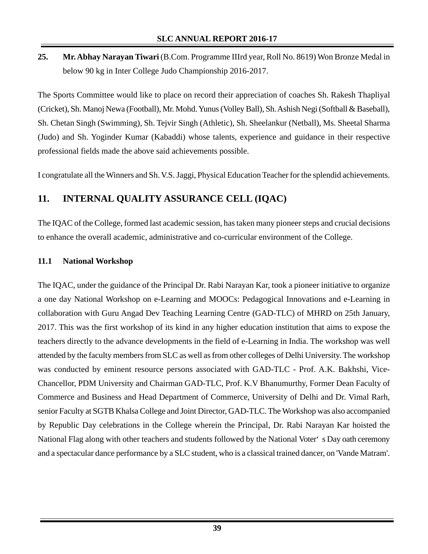**25. Mr. Abhay Narayan Tiwari** (B.Com. Programme IIIrd year, Roll No. 8619) Won Bronze Medal in below 90 kg in Inter College Judo Championship 2016-2017.

The Sports Committee would like to place on record their appreciation of coaches Sh. Rakesh Thapliyal (Cricket), Sh. Manoj Newa (Football), Mr. Mohd. Yunus (Volley Ball), Sh. Ashish Negi (Softball & Baseball), Sh. Chetan Singh (Swimming), Sh. Tejvir Singh (Athletic), Sh. Sheelankur (Netball), Ms. Sheetal Sharma (Judo) and Sh. Yoginder Kumar (Kabaddi) whose talents, experience and guidance in their respective professional fields made the above said achievements possible.

I congratulate all the Winners and Sh. V.S. Jaggi, Physical Education Teacher for the splendid achievements.

# **11. INTERNAL QUALITY ASSURANCE CELL (IQAC)**

The IQAC of the College, formed last academic session, has taken many pioneer steps and crucial decisions to enhance the overall academic, administrative and co-curricular environment of the College.

## **11.1 National Workshop**

The IQAC, under the guidance of the Principal Dr. Rabi Narayan Kar, took a pioneer initiative to organize a one day National Workshop on e-Learning and MOOCs: Pedagogical Innovations and e-Learning in collaboration with Guru Angad Dev Teaching Learning Centre (GAD-TLC) of MHRD on 25th January, 2017. This was the first workshop of its kind in any higher education institution that aims to expose the teachers directly to the advance developments in the field of e-Learning in India. The workshop was well attended by the faculty members from SLC as well as from other colleges of Delhi University. The workshop was conducted by eminent resource persons associated with GAD-TLC - Prof. A.K. Bakhshi, Vice-Chancellor, PDM University and Chairman GAD-TLC, Prof. K.V Bhanumurthy, Former Dean Faculty of Commerce and Business and Head Department of Commerce, University of Delhi and Dr. Vimal Rarh, senior Faculty at SGTB Khalsa College and Joint Director, GAD-TLC. The Workshop was also accompanied by Republic Day celebrations in the College wherein the Principal, Dr. Rabi Narayan Kar hoisted the National Flag along with other teachers and students followed by the National Voter's Day oath ceremony and a spectacular dance performance by a SLC student, who is a classical trained dancer, on 'Vande Matram'.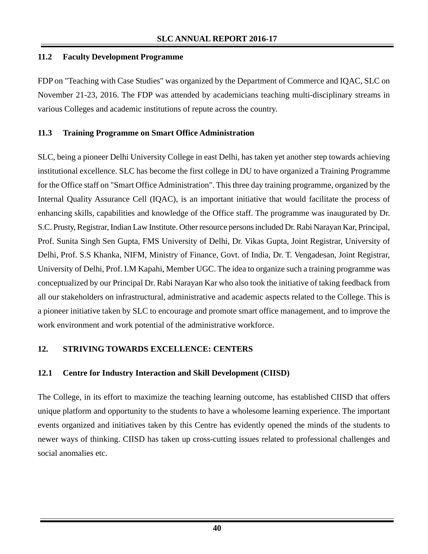## **11.2 Faculty Development Programme**

FDP on "Teaching with Case Studies" was organized by the Department of Commerce and IQAC, SLC on November 21-23, 2016. The FDP was attended by academicians teaching multi-disciplinary streams in various Colleges and academic institutions of repute across the country.

## **11.3 Training Programme on Smart Office Administration**

SLC, being a pioneer Delhi University College in east Delhi, has taken yet another step towards achieving institutional excellence. SLC has become the first college in DU to have organized a Training Programme for the Office staff on "Smart Office Administration". This three day training programme, organized by the Internal Quality Assurance Cell (IQAC), is an important initiative that would facilitate the process of enhancing skills, capabilities and knowledge of the Office staff. The programme was inaugurated by Dr. S.C. Prusty, Registrar, Indian Law Institute. Other resource persons included Dr. Rabi Narayan Kar, Principal, Prof. Sunita Singh Sen Gupta, FMS University of Delhi, Dr. Vikas Gupta, Joint Registrar, University of Delhi, Prof. S.S Khanka, NIFM, Ministry of Finance, Govt. of India, Dr. T. Vengadesan, Joint Registrar, University of Delhi, Prof. I.M Kapahi, Member UGC. The idea to organize such a training programme was conceptualized by our Principal Dr. Rabi Narayan Kar who also took the initiative of taking feedback from all our stakeholders on infrastructural, administrative and academic aspects related to the College. This is a pioneer initiative taken by SLC to encourage and promote smart office management, and to improve the work environment and work potential of the administrative workforce.

## **12. STRIVING TOWARDS EXCELLENCE: CENTERS**

## **12.1 Centre for Industry Interaction and Skill Development (CIISD)**

The College, in its effort to maximize the teaching learning outcome, has established CIISD that offers unique platform and opportunity to the students to have a wholesome learning experience. The important events organized and initiatives taken by this Centre has evidently opened the minds of the students to newer ways of thinking. CIISD has taken up cross-cutting issues related to professional challenges and social anomalies etc.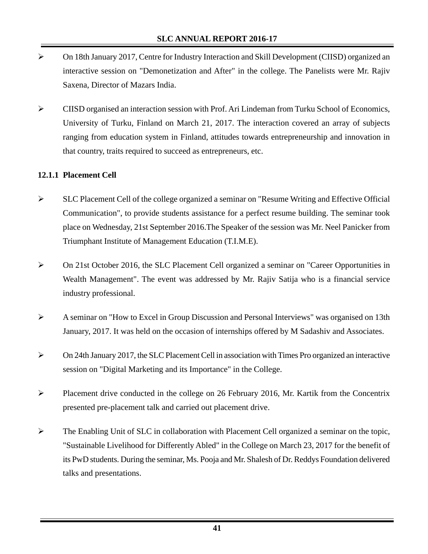- ¾ On 18th January 2017, Centre for Industry Interaction and Skill Development (CIISD) organized an interactive session on "Demonetization and After" in the college. The Panelists were Mr. Rajiv Saxena, Director of Mazars India.
- ¾ CIISD organised an interaction session with Prof. Ari Lindeman from Turku School of Economics, University of Turku, Finland on March 21, 2017. The interaction covered an array of subjects ranging from education system in Finland, attitudes towards entrepreneurship and innovation in that country, traits required to succeed as entrepreneurs, etc.

## **12.1.1 Placement Cell**

- ¾ SLC Placement Cell of the college organized a seminar on "Resume Writing and Effective Official Communication", to provide students assistance for a perfect resume building. The seminar took place on Wednesday, 21st September 2016.The Speaker of the session was Mr. Neel Panicker from Triumphant Institute of Management Education (T.I.M.E).
- ¾ On 21st October 2016, the SLC Placement Cell organized a seminar on "Career Opportunities in Wealth Management". The event was addressed by Mr. Rajiv Satija who is a financial service industry professional.
- $\triangleright$  A seminar on "How to Excel in Group Discussion and Personal Interviews" was organised on 13th January, 2017. It was held on the occasion of internships offered by M Sadashiv and Associates.
- ¾ On 24th January 2017, the SLC Placement Cell in association with Times Pro organized an interactive session on "Digital Marketing and its Importance" in the College.
- $\triangleright$  Placement drive conducted in the college on 26 February 2016, Mr. Kartik from the Concentrix presented pre-placement talk and carried out placement drive.
- $\triangleright$  The Enabling Unit of SLC in collaboration with Placement Cell organized a seminar on the topic, "Sustainable Livelihood for Differently Abled" in the College on March 23, 2017 for the benefit of its PwD students. During the seminar, Ms. Pooja and Mr. Shalesh of Dr. Reddys Foundation delivered talks and presentations.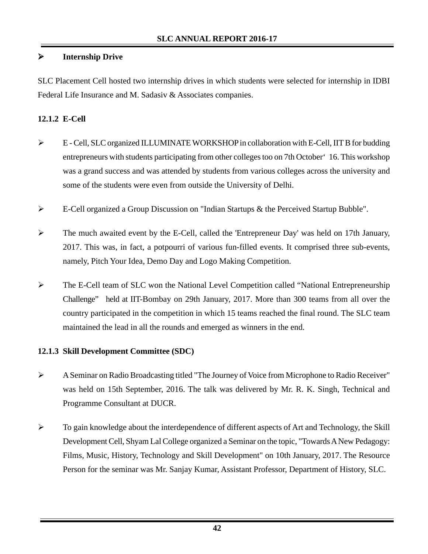## ¾ **Internship Drive**

SLC Placement Cell hosted two internship drives in which students were selected for internship in IDBI Federal Life Insurance and M. Sadasiv & Associates companies.

## **12.1.2 E-Cell**

- $\triangleright$  E Cell, SLC organized ILLUMINATE WORKSHOP in collaboration with E-Cell, IIT B for budding entrepreneurs with students participating from other colleges too on 7th October'16. This workshop was a grand success and was attended by students from various colleges across the university and some of the students were even from outside the University of Delhi.
- ¾ E-Cell organized a Group Discussion on "Indian Startups & the Perceived Startup Bubble".
- ¾ The much awaited event by the E-Cell, called the 'Entrepreneur Day' was held on 17th January, 2017. This was, in fact, a potpourri of various fun-filled events. It comprised three sub-events, namely, Pitch Your Idea, Demo Day and Logo Making Competition.
- ¾ The E-Cell team of SLC won the National Level Competition called "National Entrepreneurship Challenge" held at IIT-Bombay on 29th January, 2017. More than 300 teams from all over the country participated in the competition in which 15 teams reached the final round. The SLC team maintained the lead in all the rounds and emerged as winners in the end.

## **12.1.3 Skill Development Committee (SDC)**

- ¾ A Seminar on Radio Broadcasting titled "The Journey of Voice from Microphone to Radio Receiver" was held on 15th September, 2016. The talk was delivered by Mr. R. K. Singh, Technical and Programme Consultant at DUCR.
- ¾ To gain knowledge about the interdependence of different aspects of Art and Technology, the Skill Development Cell, Shyam Lal College organized a Seminar on the topic, "Towards A New Pedagogy: Films, Music, History, Technology and Skill Development" on 10th January, 2017. The Resource Person for the seminar was Mr. Sanjay Kumar, Assistant Professor, Department of History, SLC.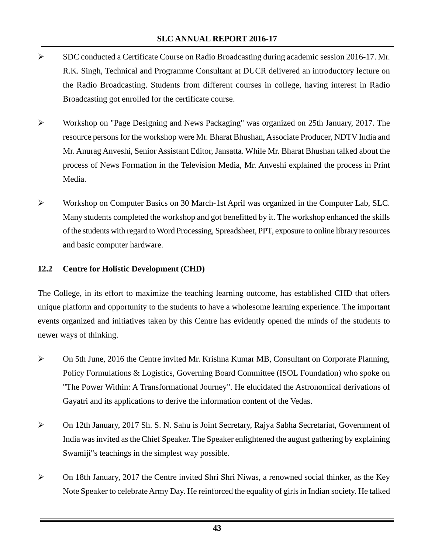- ¾ SDC conducted a Certificate Course on Radio Broadcasting during academic session 2016-17. Mr. R.K. Singh, Technical and Programme Consultant at DUCR delivered an introductory lecture on the Radio Broadcasting. Students from different courses in college, having interest in Radio Broadcasting got enrolled for the certificate course.
- ¾ Workshop on "Page Designing and News Packaging" was organized on 25th January, 2017. The resource persons for the workshop were Mr. Bharat Bhushan, Associate Producer, NDTV India and Mr. Anurag Anveshi, Senior Assistant Editor, Jansatta. While Mr. Bharat Bhushan talked about the process of News Formation in the Television Media, Mr. Anveshi explained the process in Print Media.
- ¾ Workshop on Computer Basics on 30 March-1st April was organized in the Computer Lab, SLC. Many students completed the workshop and got benefitted by it. The workshop enhanced the skills of the students with regard to Word Processing, Spreadsheet, PPT, exposure to online library resources and basic computer hardware.

## **12.2 Centre for Holistic Development (CHD)**

The College, in its effort to maximize the teaching learning outcome, has established CHD that offers unique platform and opportunity to the students to have a wholesome learning experience. The important events organized and initiatives taken by this Centre has evidently opened the minds of the students to newer ways of thinking.

- ¾ On 5th June, 2016 the Centre invited Mr. Krishna Kumar MB, Consultant on Corporate Planning, Policy Formulations & Logistics, Governing Board Committee (ISOL Foundation) who spoke on "The Power Within: A Transformational Journey". He elucidated the Astronomical derivations of Gayatri and its applications to derive the information content of the Vedas.
- ¾ On 12th January, 2017 Sh. S. N. Sahu is Joint Secretary, Rajya Sabha Secretariat, Government of India was invited as the Chief Speaker. The Speaker enlightened the august gathering by explaining Swamiji"s teachings in the simplest way possible.
- ¾ On 18th January, 2017 the Centre invited Shri Shri Niwas, a renowned social thinker, as the Key Note Speaker to celebrate Army Day. He reinforced the equality of girls in Indian society. He talked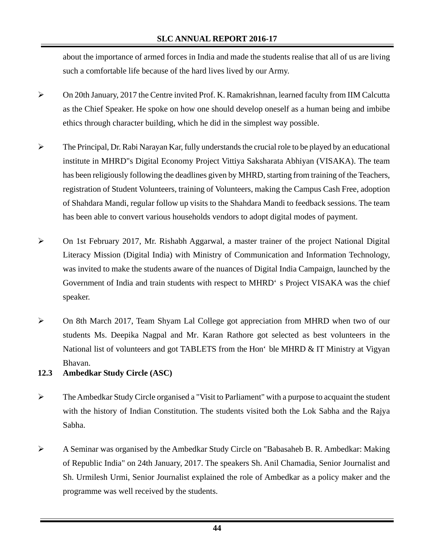about the importance of armed forces in India and made the students realise that all of us are living such a comfortable life because of the hard lives lived by our Army.

- ¾ On 20th January, 2017 the Centre invited Prof. K. Ramakrishnan, learned faculty from IIM Calcutta as the Chief Speaker. He spoke on how one should develop oneself as a human being and imbibe ethics through character building, which he did in the simplest way possible.
- $\triangleright$  The Principal, Dr. Rabi Narayan Kar, fully understands the crucial role to be played by an educational institute in MHRD"s Digital Economy Project Vittiya Saksharata Abhiyan (VISAKA). The team has been religiously following the deadlines given by MHRD, starting from training of the Teachers, registration of Student Volunteers, training of Volunteers, making the Campus Cash Free, adoption of Shahdara Mandi, regular follow up visits to the Shahdara Mandi to feedback sessions. The team has been able to convert various households vendors to adopt digital modes of payment.
- $\triangleright$  On 1st February 2017, Mr. Rishabh Aggarwal, a master trainer of the project National Digital Literacy Mission (Digital India) with Ministry of Communication and Information Technology, was invited to make the students aware of the nuances of Digital India Campaign, launched by the Government of India and train students with respect to MHRD's Project VISAKA was the chief speaker.
- ¾ On 8th March 2017, Team Shyam Lal College got appreciation from MHRD when two of our students Ms. Deepika Nagpal and Mr. Karan Rathore got selected as best volunteers in the National list of volunteers and got TABLETS from the Hon' ble MHRD & IT Ministry at Vigyan Bhavan.

#### **12.3 Ambedkar Study Circle (ASC)**

- ¾ The Ambedkar Study Circle organised a "Visit to Parliament" with a purpose to acquaint the student with the history of Indian Constitution. The students visited both the Lok Sabha and the Rajya Sabha.
- ¾ A Seminar was organised by the Ambedkar Study Circle on "Babasaheb B. R. Ambedkar: Making of Republic India" on 24th January, 2017. The speakers Sh. Anil Chamadia, Senior Journalist and Sh. Urmilesh Urmi, Senior Journalist explained the role of Ambedkar as a policy maker and the programme was well received by the students.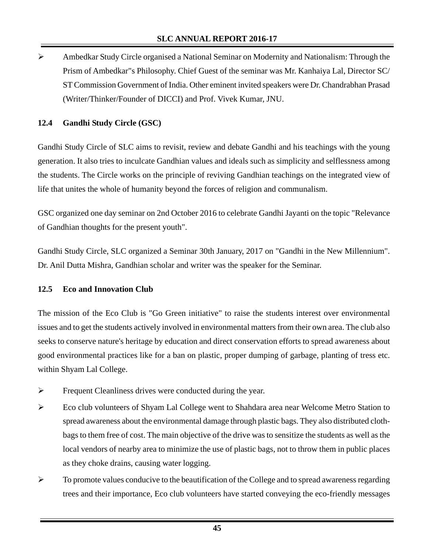¾ Ambedkar Study Circle organised a National Seminar on Modernity and Nationalism: Through the Prism of Ambedkar"s Philosophy. Chief Guest of the seminar was Mr. Kanhaiya Lal, Director SC/ ST Commission Government of India. Other eminent invited speakers were Dr. Chandrabhan Prasad (Writer/Thinker/Founder of DICCI) and Prof. Vivek Kumar, JNU.

## **12.4 Gandhi Study Circle (GSC)**

Gandhi Study Circle of SLC aims to revisit, review and debate Gandhi and his teachings with the young generation. It also tries to inculcate Gandhian values and ideals such as simplicity and selflessness among the students. The Circle works on the principle of reviving Gandhian teachings on the integrated view of life that unites the whole of humanity beyond the forces of religion and communalism.

GSC organized one day seminar on 2nd October 2016 to celebrate Gandhi Jayanti on the topic "Relevance of Gandhian thoughts for the present youth".

Gandhi Study Circle, SLC organized a Seminar 30th January, 2017 on "Gandhi in the New Millennium". Dr. Anil Dutta Mishra, Gandhian scholar and writer was the speaker for the Seminar.

## **12.5 Eco and Innovation Club**

The mission of the Eco Club is "Go Green initiative" to raise the students interest over environmental issues and to get the students actively involved in environmental matters from their own area. The club also seeks to conserve nature's heritage by education and direct conservation efforts to spread awareness about good environmental practices like for a ban on plastic, proper dumping of garbage, planting of tress etc. within Shyam Lal College.

- ¾ Frequent Cleanliness drives were conducted during the year.
- ¾ Eco club volunteers of Shyam Lal College went to Shahdara area near Welcome Metro Station to spread awareness about the environmental damage through plastic bags. They also distributed clothbags to them free of cost. The main objective of the drive was to sensitize the students as well as the local vendors of nearby area to minimize the use of plastic bags, not to throw them in public places as they choke drains, causing water logging.
- $\triangleright$  To promote values conducive to the beautification of the College and to spread awareness regarding trees and their importance, Eco club volunteers have started conveying the eco-friendly messages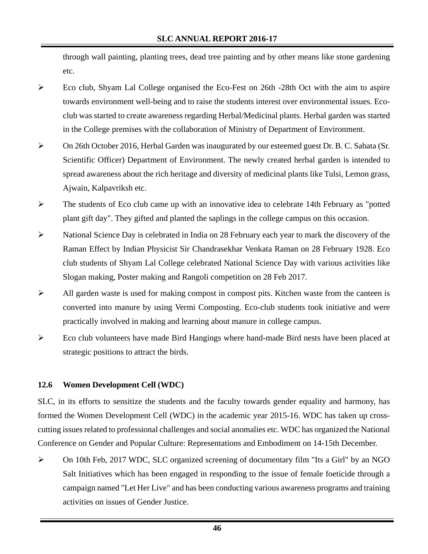through wall painting, planting trees, dead tree painting and by other means like stone gardening etc.

- ¾ Eco club, Shyam Lal College organised the Eco-Fest on 26th -28th Oct with the aim to aspire towards environment well-being and to raise the students interest over environmental issues. Ecoclub was started to create awareness regarding Herbal/Medicinal plants. Herbal garden was started in the College premises with the collaboration of Ministry of Department of Environment.
- ¾ On 26th October 2016, Herbal Garden was inaugurated by our esteemed guest Dr. B. C. Sabata (Sr. Scientific Officer) Department of Environment. The newly created herbal garden is intended to spread awareness about the rich heritage and diversity of medicinal plants like Tulsi, Lemon grass, Ajwain, Kalpavriksh etc.
- ¾ The students of Eco club came up with an innovative idea to celebrate 14th February as "potted plant gift day". They gifted and planted the saplings in the college campus on this occasion.
- $\triangleright$  National Science Day is celebrated in India on 28 February each year to mark the discovery of the Raman Effect by Indian Physicist Sir Chandrasekhar Venkata Raman on 28 February 1928. Eco club students of Shyam Lal College celebrated National Science Day with various activities like Slogan making, Poster making and Rangoli competition on 28 Feb 2017.
- $\triangleright$  All garden waste is used for making compost in compost pits. Kitchen waste from the canteen is converted into manure by using Vermi Composting. Eco-club students took initiative and were practically involved in making and learning about manure in college campus.
- $\triangleright$  Eco club volunteers have made Bird Hangings where hand-made Bird nests have been placed at strategic positions to attract the birds.

#### **12.6 Women Development Cell (WDC)**

SLC, in its efforts to sensitize the students and the faculty towards gender equality and harmony, has formed the Women Development Cell (WDC) in the academic year 2015-16. WDC has taken up crosscutting issues related to professional challenges and social anomalies etc. WDC has organized the National Conference on Gender and Popular Culture: Representations and Embodiment on 14-15th December.

 $\triangleright$  On 10th Feb, 2017 WDC, SLC organized screening of documentary film "Its a Girl" by an NGO Salt Initiatives which has been engaged in responding to the issue of female foeticide through a campaign named "Let Her Live" and has been conducting various awareness programs and training activities on issues of Gender Justice.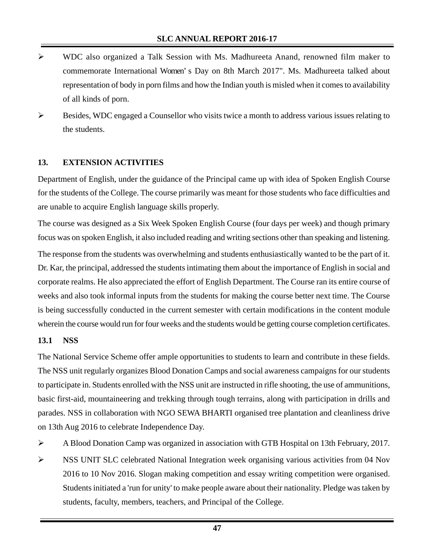- ¾ WDC also organized a Talk Session with Ms. Madhureeta Anand, renowned film maker to commemorate International Women's Day on 8th March 2017". Ms. Madhureeta talked about representation of body in porn films and how the Indian youth is misled when it comes to availability of all kinds of porn.
- ¾ Besides, WDC engaged a Counsellor who visits twice a month to address various issues relating to the students.

## **13. EXTENSION ACTIVITIES**

Department of English, under the guidance of the Principal came up with idea of Spoken English Course for the students of the College. The course primarily was meant for those students who face difficulties and are unable to acquire English language skills properly.

The course was designed as a Six Week Spoken English Course (four days per week) and though primary focus was on spoken English, it also included reading and writing sections other than speaking and listening. The response from the students was overwhelming and students enthusiastically wanted to be the part of it. Dr. Kar, the principal, addressed the students intimating them about the importance of English in social and corporate realms. He also appreciated the effort of English Department. The Course ran its entire course of weeks and also took informal inputs from the students for making the course better next time. The Course is being successfully conducted in the current semester with certain modifications in the content module wherein the course would run for four weeks and the students would be getting course completion certificates.

#### **13.1 NSS**

The National Service Scheme offer ample opportunities to students to learn and contribute in these fields. The NSS unit regularly organizes Blood Donation Camps and social awareness campaigns for our students to participate in. Students enrolled with the NSS unit are instructed in rifle shooting, the use of ammunitions, basic first-aid, mountaineering and trekking through tough terrains, along with participation in drills and parades. NSS in collaboration with NGO SEWA BHARTI organised tree plantation and cleanliness drive on 13th Aug 2016 to celebrate Independence Day.

- ¾ A Blood Donation Camp was organized in association with GTB Hospital on 13th February, 2017.
- ¾ NSS UNIT SLC celebrated National Integration week organising various activities from 04 Nov 2016 to 10 Nov 2016. Slogan making competition and essay writing competition were organised. Students initiated a 'run for unity' to make people aware about their nationality. Pledge was taken by students, faculty, members, teachers, and Principal of the College.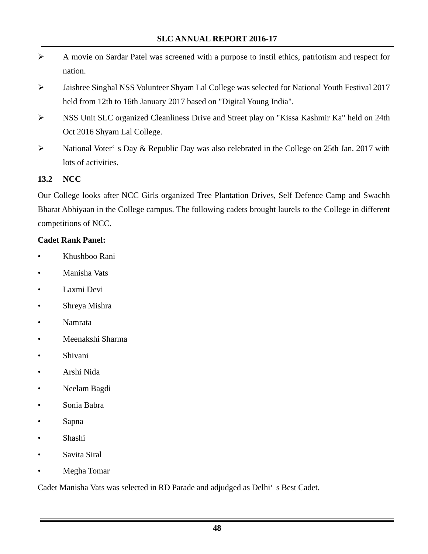- ¾ A movie on Sardar Patel was screened with a purpose to instil ethics, patriotism and respect for nation.
- ¾ Jaishree Singhal NSS Volunteer Shyam Lal College was selected for National Youth Festival 2017 held from 12th to 16th January 2017 based on "Digital Young India".
- ¾ NSS Unit SLC organized Cleanliness Drive and Street play on "Kissa Kashmir Ka" held on 24th Oct 2016 Shyam Lal College.
- ¾ National Voter's Day & Republic Day was also celebrated in the College on 25th Jan. 2017 with lots of activities.

## **13.2 NCC**

Our College looks after NCC Girls organized Tree Plantation Drives, Self Defence Camp and Swachh Bharat Abhiyaan in the College campus. The following cadets brought laurels to the College in different competitions of NCC.

#### **Cadet Rank Panel:**

- Khushboo Rani
- Manisha Vats
- Laxmi Devi
- Shreya Mishra
- Namrata
- Meenakshi Sharma
- Shivani
- Arshi Nida
- Neelam Bagdi
- Sonia Babra
- Sapna
- Shashi
- Savita Siral
- Megha Tomar

Cadet Manisha Vats was selected in RD Parade and adjudged as Delhi's Best Cadet.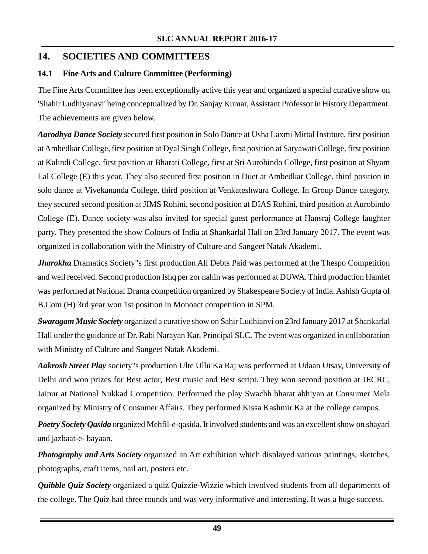## **14. SOCIETIES AND COMMITTEES**

## **14.1 Fine Arts and Culture Committee (Performing)**

The Fine Arts Committee has been exceptionally active this year and organized a special curative show on 'Shahir Ludhiyanavi' being conceptualized by Dr. Sanjay Kumar, Assistant Professor in History Department. The achievements are given below.

*Aarodhya Dance Society* secured first position in Solo Dance at Usha Laxmi Mittal Institute, first position at Ambedkar College, first position at Dyal Singh College, first position at Satyawati College, first position at Kalindi College, first position at Bharati College, first at Sri Aurobindo College, first position at Shyam Lal College (E) this year. They also secured first position in Duet at Ambedkar College, third position in solo dance at Vivekananda College, third position at Venkateshwara College. In Group Dance category, they secured second position at JIMS Rohini, second position at DIAS Rohini, third position at Aurobindo College (E). Dance society was also invited for special guest performance at Hansraj College laughter party. They presented the show Colours of India at Shankarlal Hall on 23rd January 2017. The event was organized in collaboration with the Ministry of Culture and Sangeet Natak Akademi.

*Jharokha* Dramatics Society"s first production All Debts Paid was performed at the Thespo Competition and well received. Second production Ishq per zor nahin was performed at DUWA. Third production Hamlet was performed at National Drama competition organized by Shakespeare Society of India. Ashish Gupta of B.Com (H) 3rd year won 1st position in Monoact competition in SPM.

*Swaragam Music Society* organized a curative show on Sahir Ludhianvi on 23rd January 2017 at Shankarlal Hall under the guidance of Dr. Rabi Narayan Kar, Principal SLC. The event was organized in collaboration with Ministry of Culture and Sangeet Natak Akademi.

*Aakrosh Street Play* society"s production Ulte Ullu Ka Raj was performed at Udaan Utsav, University of Delhi and won prizes for Best actor, Best music and Best script. They won second position at JECRC, Jaipur at National Nukkad Competition. Performed the play Swachh bharat abhiyan at Consumer Mela organized by Ministry of Consumer Affairs. They performed Kissa Kashmir Ka at the college campus.

*Poetry Society Qasida* organized Mehfil-e-qasida. It involved students and was an excellent show on shayari and jazbaat-e- bayaan.

*Photography and Arts Society* organized an Art exhibition which displayed various paintings, sketches, photographs, craft items, nail art, posters etc.

*Quibble Quiz Society* organized a quiz Quizzie-Wizzie which involved students from all departments of the college. The Quiz had three rounds and was very informative and interesting. It was a huge success.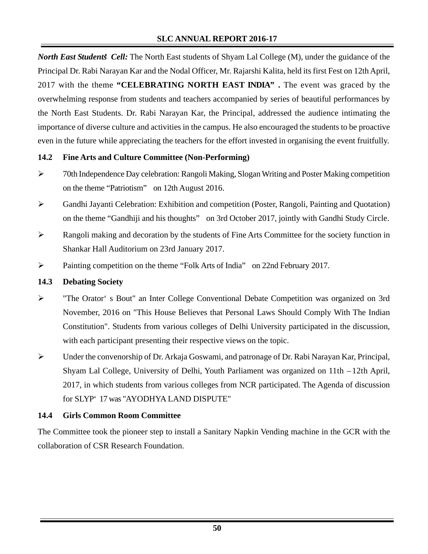*North East Students' Cell:* The North East students of Shyam Lal College (M), under the guidance of the Principal Dr. Rabi Narayan Kar and the Nodal Officer, Mr. Rajarshi Kalita, held its first Fest on 12th April, 2017 with the theme **"CELEBRATING NORTH EAST INDIA".** The event was graced by the overwhelming response from students and teachers accompanied by series of beautiful performances by the North East Students. Dr. Rabi Narayan Kar, the Principal, addressed the audience intimating the importance of diverse culture and activities in the campus. He also encouraged the students to be proactive even in the future while appreciating the teachers for the effort invested in organising the event fruitfully.

#### **14.2 Fine Arts and Culture Committee (Non-Performing)**

- ¾ 70th Independence Day celebration: Rangoli Making, Slogan Writing and Poster Making competition on the theme "Patriotism" on 12th August 2016.
- ¾ Gandhi Jayanti Celebration: Exhibition and competition (Poster, Rangoli, Painting and Quotation) on the theme "Gandhiji and his thoughts" on 3rd October 2017, jointly with Gandhi Study Circle.
- $\triangleright$  Rangoli making and decoration by the students of Fine Arts Committee for the society function in Shankar Hall Auditorium on 23rd January 2017.
- ¾ Painting competition on the theme "Folk Arts of India" on 22nd February 2017.

#### **14.3 Debating Society**

- ¾ "The Orator's Bout" an Inter College Conventional Debate Competition was organized on 3rd November, 2016 on "This House Believes that Personal Laws Should Comply With The Indian Constitution". Students from various colleges of Delhi University participated in the discussion, with each participant presenting their respective views on the topic.
- ¾ Under the convenorship of Dr. Arkaja Goswami, and patronage of Dr. Rabi Narayan Kar, Principal, Shyam Lal College, University of Delhi, Youth Parliament was organized on 11th – 12th April, 2017, in which students from various colleges from NCR participated. The Agenda of discussion for SLYP'17 was "AYODHYA LAND DISPUTE"

#### **14.4 Girls Common Room Committee**

The Committee took the pioneer step to install a Sanitary Napkin Vending machine in the GCR with the collaboration of CSR Research Foundation.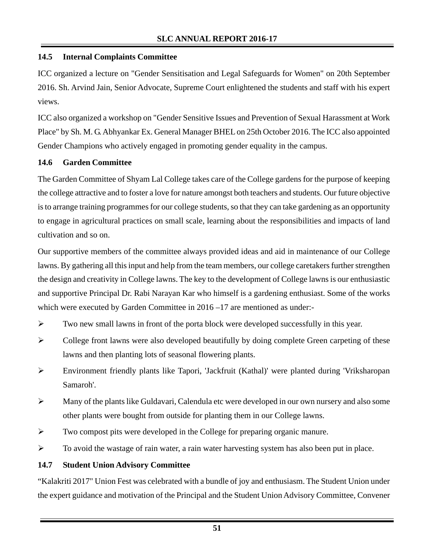## **14.5 Internal Complaints Committee**

ICC organized a lecture on "Gender Sensitisation and Legal Safeguards for Women" on 20th September 2016. Sh. Arvind Jain, Senior Advocate, Supreme Court enlightened the students and staff with his expert views.

ICC also organized a workshop on "Gender Sensitive Issues and Prevention of Sexual Harassment at Work Place" by Sh. M. G. Abhyankar Ex. General Manager BHEL on 25th October 2016. The ICC also appointed Gender Champions who actively engaged in promoting gender equality in the campus.

## **14.6 Garden Committee**

The Garden Committee of Shyam Lal College takes care of the College gardens for the purpose of keeping the college attractive and to foster a love for nature amongst both teachers and students. Our future objective is to arrange training programmes for our college students, so that they can take gardening as an opportunity to engage in agricultural practices on small scale, learning about the responsibilities and impacts of land cultivation and so on.

Our supportive members of the committee always provided ideas and aid in maintenance of our College lawns. By gathering all this input and help from the team members, our college caretakers further strengthen the design and creativity in College lawns. The key to the development of College lawns is our enthusiastic and supportive Principal Dr. Rabi Narayan Kar who himself is a gardening enthusiast. Some of the works which were executed by Garden Committee in  $2016 - 17$  are mentioned as under:-

- $\triangleright$  Two new small lawns in front of the porta block were developed successfully in this year.
- $\triangleright$  College front lawns were also developed beautifully by doing complete Green carpeting of these lawns and then planting lots of seasonal flowering plants.
- ¾ Environment friendly plants like Tapori, 'Jackfruit (Kathal)' were planted during 'Vriksharopan Samaroh'.
- ¾ Many of the plants like Guldavari, Calendula etc were developed in our own nursery and also some other plants were bought from outside for planting them in our College lawns.
- $\triangleright$  Two compost pits were developed in the College for preparing organic manure.
- $\triangleright$  To avoid the wastage of rain water, a rain water harvesting system has also been put in place.

#### **14.7 Student Union Advisory Committee**

"Kalakriti 2017" Union Fest was celebrated with a bundle of joy and enthusiasm. The Student Union under the expert guidance and motivation of the Principal and the Student Union Advisory Committee, Convener